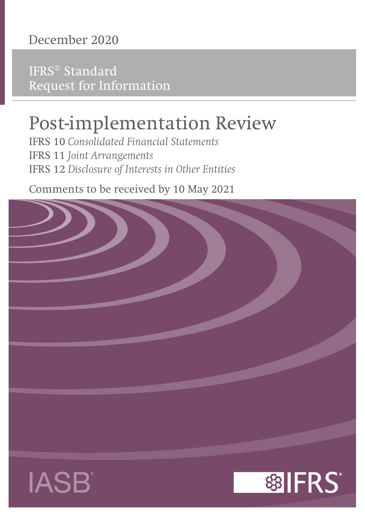# **December 2020**

IFRS® Standard Request for Information

# Post-implementation Review

IFRS 10 *Consolidated Financial Statements* IFRS 11 *Joint Arrangements* IFRS 12 *Disclosure of Interests in Other Entities*

Comments to be received by 10 May 2021





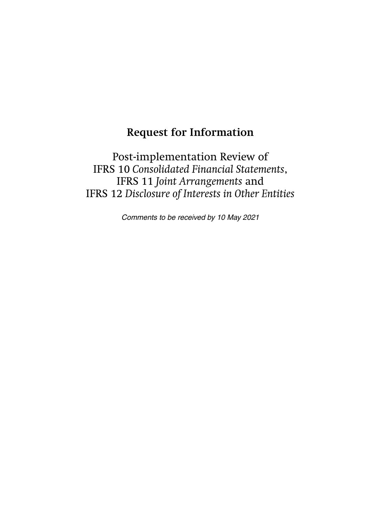## **Request for Information**

Post-implementation Review of IFRS 10 *Consolidated Financial Statements*, IFRS 11 *Joint Arrangements* and IFRS 12 *Disclosure of Interests in Other Entities*

Comments to be received by 10 May 2021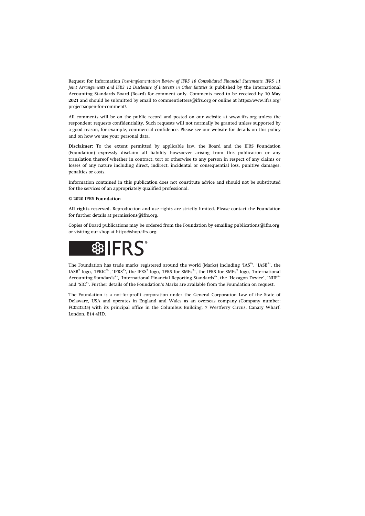Request for Information *Post-implementation Review of IFRS 10 Consolidated Financial Statements, IFRS 11 Joint Arrangements and IFRS 12 Disclosure of Interests in Other Entities* is published by the International Accounting Standards Board (Board) for comment only. Comments need to be received by **10 May 2021** and should be submitted by email to [commentletters@ifrs.org](mailto:commentletters@ifrs.org) or online at [https://www.ifrs.org/](https://www.ifrs.org/projects/open-for-comment/) [projects/open-for-comment/](https://www.ifrs.org/projects/open-for-comment/).

All comments will be on the public record and posted on our website at [www.ifrs.org](https://www.ifrs.org) unless the respondent requests confidentiality. Such requests will not normally be granted unless supported by a good reason, for example, commercial confidence. Please see our website for details on this policy and on how we use your personal data.

**Disclaimer:** To the extent permitted by applicable law, the Board and the IFRS Foundation (Foundation) expressly disclaim all liability howsoever arising from this publication or any translation thereof whether in contract, tort or otherwise to any person in respect of any claims or losses of any nature including direct, indirect, incidental or consequential loss, punitive damages, penalties or costs.

Information contained in this publication does not constitute advice and should not be substituted for the services of an appropriately qualified professional.

#### **© 2020 IFRS Foundation**

**All rights reserved.** Reproduction and use rights are strictly limited. Please contact the Foundation for further details at [permissions@ifrs.org](mailto:permissions@ifrs.org).

Copies of Board publications may be ordered from the Foundation by emailing [publications@ifrs.org](mailto:publications@ifrs.org)  or visiting our shop at<https://shop.ifrs.org>.



The Foundation has trade marks registered around the world (Marks) including 'IAS®', 'IASB®', the IASB® logo, 'IFRIC®', 'IFRS®', the IFRS® logo, 'IFRS for SMEs®', the IFRS for SMEs® logo, 'International Accounting Standards®', 'International Financial Reporting Standards®', the 'Hexagon Device', 'NIIF®' and 'SIC®'. Further details of the Foundation's Marks are available from the Foundation on request.

The Foundation is a not-for-profit corporation under the General Corporation Law of the State of Delaware, USA and operates in England and Wales as an overseas company (Company number: FC023235) with its principal office in the Columbus Building, 7 Westferry Circus, Canary Wharf, London, E14 4HD.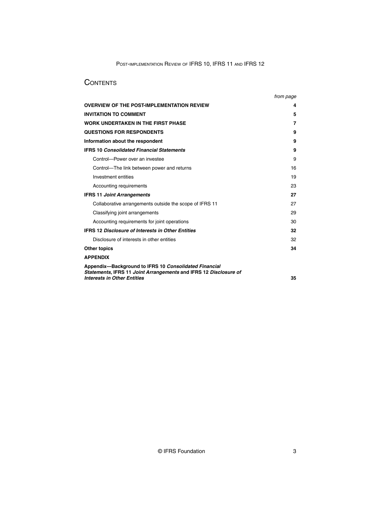## **CONTENTS**

|                                                                                                                           | from page |
|---------------------------------------------------------------------------------------------------------------------------|-----------|
| <b>OVERVIEW OF THE POST-IMPLEMENTATION REVIEW</b>                                                                         | 4         |
| <b>INVITATION TO COMMENT</b>                                                                                              | 5         |
| <b>WORK UNDERTAKEN IN THE FIRST PHASE</b>                                                                                 | 7         |
| <b>QUESTIONS FOR RESPONDENTS</b>                                                                                          | 9         |
| Information about the respondent                                                                                          | 9         |
| <b>IFRS 10 Consolidated Financial Statements</b>                                                                          | 9         |
| Control-Power over an investee                                                                                            | 9         |
| Control—The link between power and returns                                                                                | 16        |
| Investment entities                                                                                                       | 19        |
| Accounting requirements                                                                                                   | 23        |
| <b>IFRS 11 Joint Arrangements</b>                                                                                         | 27        |
| Collaborative arrangements outside the scope of IFRS 11                                                                   | 27        |
| Classifying joint arrangements                                                                                            | 29        |
| Accounting requirements for joint operations                                                                              | 30        |
| <b>IFRS 12 Disclosure of Interests in Other Entities</b>                                                                  | 32        |
| Disclosure of interests in other entities                                                                                 | 32        |
| <b>Other topics</b>                                                                                                       | 34        |
| <b>APPENDIX</b>                                                                                                           |           |
| Appendix-Background to IFRS 10 Consolidated Financial<br>Statements, IFRS 11 Joint Arrangements and IFRS 12 Disclosure of |           |
| <b>Interests in Other Entities</b>                                                                                        | 35        |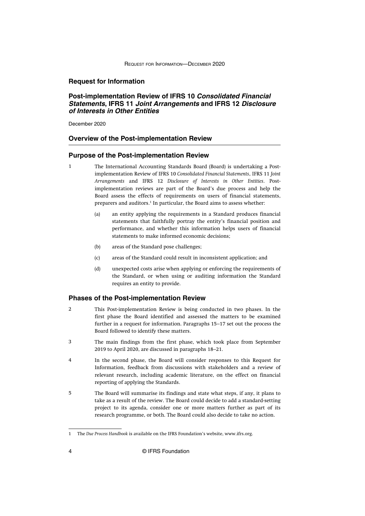#### <span id="page-4-0"></span>**Request for Information**

## **Post-implementation Review of IFRS 10 Consolidated Financial Statements, IFRS 11 Joint Arrangements and IFRS 12 Disclosure of Interests in Other Entities**

December 2020

#### **Overview of the Post-implementation Review**

#### **Purpose of the Post-implementation Review**

- 1
- The International Accounting Standards Board (Board) is undertaking a Postimplementation Review of IFRS 10 *Consolidated Financial Statements*, IFRS 11 *Joint Arrangements* and IFRS 12 *Disclosure of Interests in Other Entities*. Postimplementation reviews are part of the Board's due process and help the Board assess the effects of requirements on users of financial statements, preparers and auditors.<sup>1</sup> In particular, the Board aims to assess whether:
	- (a) an entity applying the requirements in a Standard produces financial statements that faithfully portray the entity's financial position and performance, and whether this information helps users of financial statements to make informed economic decisions;
	- (b) areas of the Standard pose challenges;
	- (c) areas of the Standard could result in inconsistent application; and
	- (d) unexpected costs arise when applying or enforcing the requirements of the Standard, or when using or auditing information the Standard requires an entity to provide.

## **Phases of the Post-implementation Review**

- This Post-implementation Review is being conducted in two phases. In the first phase the Board identified and assessed the matters to be examined further in a request for information. [Paragraphs 15–17](#page-7-0) set out the process the Board followed to identify these matters.  $\overline{2}$
- The main findings from the first phase, which took place from September 2019 to April 2020, are discussed in [paragraphs 18–21.](#page-8-0) 3
- In the second phase, the Board will consider responses to this Request for Information, feedback from discussions with stakeholders and a review of relevant research, including academic literature, on the effect on financial reporting of applying the Standards. 4
- The Board will summarise its findings and state what steps, if any, it plans to take as a result of the review. The Board could decide to add a standard-setting project to its agenda, consider one or more matters further as part of its research programme, or both. The Board could also decide to take no action. 5

<sup>1</sup> The *[Due Process Handbook](https://cdn.ifrs.org/-/media/feature/about-us/legal-and-governance/constitution-docs/due-process-handbook-2020.pdf?la=en)* is available on the IFRS Foundation's website, [www.ifrs.org.](https://www.ifrs.org/)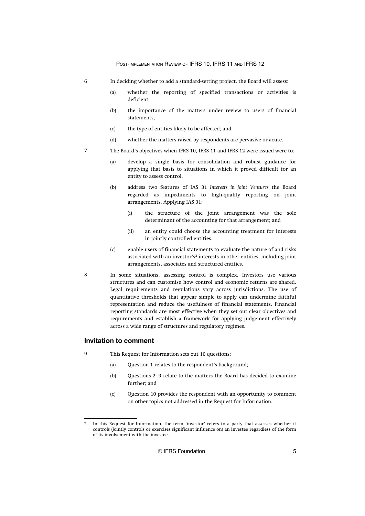- <span id="page-5-0"></span>In deciding whether to add a standard-setting project, the Board will assess: 6
	- (a) whether the reporting of specified transactions or activities is deficient;
	- (b) the importance of the matters under review to users of financial statements;
	- (c) the type of entities likely to be affected; and
	- (d) whether the matters raised by respondents are pervasive or acute.
- The Board's objectives when IFRS 10, IFRS 11 and IFRS 12 were issued were to: 7
	- (a) develop a single basis for consolidation and robust guidance for applying that basis to situations in which it proved difficult for an entity to assess control.
	- (b) address two features of IAS 31 *Interests in Joint Ventures* the Board regarded as impediments to high-quality reporting on joint arrangements. Applying IAS 31:
		- (i) the structure of the joint arrangement was the sole determinant of the accounting for that arrangement; and
		- (ii) an entity could choose the accounting treatment for interests in jointly controlled entities.
	- (c) enable users of financial statements to evaluate the nature of and risks associated with an investor's<sup>2</sup> interests in other entities, including joint arrangements, associates and structured entities.
	- In some situations, assessing control is complex. Investors use various structures and can customise how control and economic returns are shared. Legal requirements and regulations vary across jurisdictions. The use of quantitative thresholds that appear simple to apply can undermine faithful representation and reduce the usefulness of financial statements. Financial reporting standards are most effective when they set out clear objectives and requirements and establish a framework for applying judgement effectively across a wide range of structures and regulatory regimes.

#### **Invitation to comment**

8

- This Request for Information sets out 10 questions:  $\overline{9}$ 
	- (a) [Question 1](#page-9-0) relates to the respondent's background;
	- (b) [Questions 2–9](#page-9-0) relate to the matters the Board has decided to examine further; and
	- (c) [Question 10](#page-34-0) provides the respondent with an opportunity to comment on other topics not addressed in the Request for Information.

<sup>2</sup> In this Request for Information, the term 'investor' refers to a party that assesses whether it controls (jointly controls or exercises significant influence on) an investee regardless of the form of its involvement with the investee.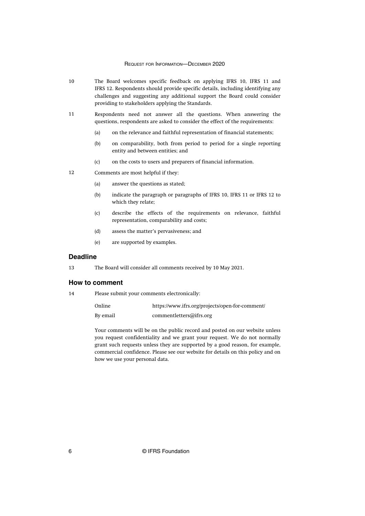- The Board welcomes specific feedback on applying IFRS 10, IFRS 11 and IFRS 12. Respondents should provide specific details, including identifying any challenges and suggesting any additional support the Board could consider providing to stakeholders applying the Standards. 10
- Respondents need not answer all the questions. When answering the questions, respondents are asked to consider the effect of the requirements: 11
	- (a) on the relevance and faithful representation of financial statements;
	- (b) on comparability, both from period to period for a single reporting entity and between entities; and
	- (c) on the costs to users and preparers of financial information.
- Comments are most helpful if they: 12
	- (a) answer the questions as stated;
	- (b) indicate the paragraph or paragraphs of IFRS 10, IFRS 11 or IFRS 12 to which they relate;
	- (c) describe the effects of the requirements on relevance, faithful representation, comparability and costs;
	- (d) assess the matter's pervasiveness; and
	- (e) are supported by examples.

## **Deadline**

The Board will consider all comments received by 10 May 2021. 13

#### **How to comment**

Please submit your comments electronically: 14

| Online   | https://www.ifrs.org/projects/open-for-comment/ |
|----------|-------------------------------------------------|
| By email | commentletters@ifrs.org                         |

Your comments will be on the public record and posted on our website unless you request confidentiality and we grant your request. We do not normally grant such requests unless they are supported by a good reason, for example, commercial confidence. Please see our website for details on this policy and on how we use your personal data.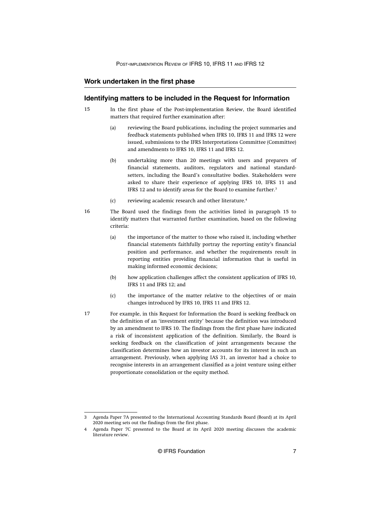## <span id="page-7-0"></span>**Work undertaken in the first phase**

## **Identifying matters to be included in the Request for Information**

- In the first phase of the Post-implementation Review, the Board identified matters that required further examination after: 15
	- (a) reviewing the Board publications, including the project summaries and feedback statements published when IFRS 10, IFRS 11 and IFRS 12 were issued, submissions to the IFRS Interpretations Committee (Committee) and amendments to IFRS 10, IFRS 11 and IFRS 12.
	- (b) undertaking more than 20 meetings with users and preparers of financial statements, auditors, regulators and national standardsetters, including the Board's consultative bodies. Stakeholders were asked to share their experience of applying IFRS 10, IFRS 11 and IFRS 12 and to identify areas for the Board to examine further.<sup>3</sup>
	- (c) reviewing academic research and other literature.<sup>4</sup>
- The Board used the findings from the activities listed in paragraph 15 to identify matters that warranted further examination, based on the following criteria: 16
	- (a) the importance of the matter to those who raised it, including whether financial statements faithfully portray the reporting entity's financial position and performance, and whether the requirements result in reporting entities providing financial information that is useful in making informed economic decisions;
	- (b) how application challenges affect the consistent application of IFRS 10, IFRS 11 and IFRS 12; and
	- (c) the importance of the matter relative to the objectives of or main changes introduced by IFRS 10, IFRS 11 and IFRS 12.
- For example, in this Request for Information the Board is seeking feedback on the definition of an 'investment entity' because the definition was introduced by an amendment to IFRS 10. The findings from the first phase have indicated a risk of inconsistent application of the definition. Similarly, the Board is seeking feedback on the classification of joint arrangements because the classification determines how an investor accounts for its interest in such an arrangement. Previously, when applying IAS 31, an investor had a choice to recognise interests in an arrangement classified as a joint venture using either proportionate consolidation or the equity method. 17

<sup>3</sup> [Agenda Paper 7A](https://cdn.ifrs.org/-/media/feature/meetings/2020/april/iasb/ap7a-pir-of-ifrs-10-ifrs-11-and-ifrs-12.pdf) presented to the International Accounting Standards Board (Board) at its April 2020 meeting sets out the findings from the first phase.

<sup>4</sup> [Agenda Paper 7C](https://cdn.ifrs.org/-/media/feature/meetings/2020/march/iasb/ap7c-pir-of-ifrs10-ifrs11-ifrs12.pdf) presented to the Board at its April 2020 meeting discusses the academic literature review.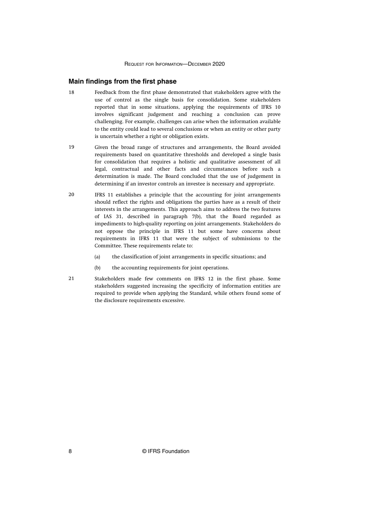#### <span id="page-8-0"></span>**Main findings from the first phase**

- Feedback from the first phase demonstrated that stakeholders agree with the use of control as the single basis for consolidation. Some stakeholders reported that in some situations, applying the requirements of IFRS 10 involves significant judgement and reaching a conclusion can prove challenging. For example, challenges can arise when the information available to the entity could lead to several conclusions or when an entity or other party is uncertain whether a right or obligation exists. 18
- Given the broad range of structures and arrangements, the Board avoided requirements based on quantitative thresholds and developed a single basis for consolidation that requires a holistic and qualitative assessment of all legal, contractual and other facts and circumstances before such a determination is made. The Board concluded that the use of judgement in determining if an investor controls an investee is necessary and appropriate. 19
- IFRS 11 establishes a principle that the accounting for joint arrangements should reflect the rights and obligations the parties have as a result of their interests in the arrangements. This approach aims to address the two features of IAS 31, described in [paragraph 7\(b\)](#page-5-0), that the Board regarded as impediments to high-quality reporting on joint arrangements. Stakeholders do not oppose the principle in IFRS 11 but some have concerns about requirements in IFRS 11 that were the subject of submissions to the Committee. These requirements relate to: 20
	- (a) the classification of joint arrangements in specific situations; and
	- (b) the accounting requirements for joint operations.
- Stakeholders made few comments on IFRS 12 in the first phase. Some stakeholders suggested increasing the specificity of information entities are required to provide when applying the Standard, while others found some of the disclosure requirements excessive. 21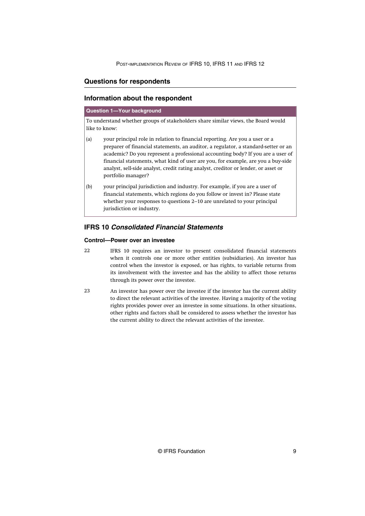## <span id="page-9-0"></span>**Questions for respondents**

## **Information about the respondent**

#### **Question 1—Your background**

To understand whether groups of stakeholders share similar views, the Board would like to know:

- (a) your principal role in relation to financial reporting. Are you a user or a preparer of financial statements, an auditor, a regulator, a standard-setter or an academic? Do you represent a professional accounting body? If you are a user of financial statements, what kind of user are you, for example, are you a buy-side analyst, sell-side analyst, credit rating analyst, creditor or lender, or asset or portfolio manager?
- (b) your principal jurisdiction and industry. For example, if you are a user of financial statements, which regions do you follow or invest in? Please state whether your responses to questions 2–10 are unrelated to your principal jurisdiction or industry.

## **IFRS 10 Consolidated Financial Statements**

## **Control—Power over an investee**

- IFRS 10 requires an investor to present consolidated financial statements when it controls one or more other entities (subsidiaries). An investor has control when the investor is exposed, or has rights, to variable returns from its involvement with the investee and has the ability to affect those returns through its power over the investee. 22
- An investor has power over the investee if the investor has the current ability to direct the relevant activities of the investee. Having a majority of the voting rights provides power over an investee in some situations. In other situations, other rights and factors shall be considered to assess whether the investor has the current ability to direct the relevant activities of the investee. 23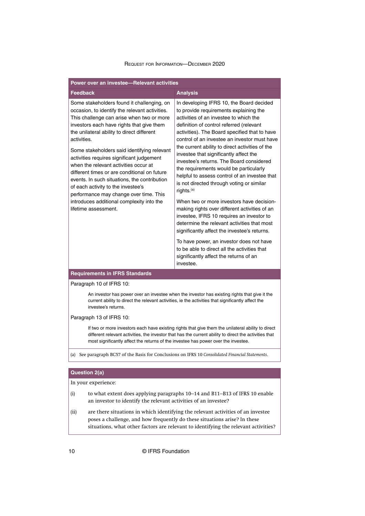| Power over an investee-Relevant activities                                                                                                                                                                                                                                                                                                                                                                                                                                                                                                                                                                                                    |                                                                                                                                                                                                                                                                                                                                                                                                                                                                                                                                                                                                                                                                                                                                                                                                                                                                                                                                                                                   |  |  |
|-----------------------------------------------------------------------------------------------------------------------------------------------------------------------------------------------------------------------------------------------------------------------------------------------------------------------------------------------------------------------------------------------------------------------------------------------------------------------------------------------------------------------------------------------------------------------------------------------------------------------------------------------|-----------------------------------------------------------------------------------------------------------------------------------------------------------------------------------------------------------------------------------------------------------------------------------------------------------------------------------------------------------------------------------------------------------------------------------------------------------------------------------------------------------------------------------------------------------------------------------------------------------------------------------------------------------------------------------------------------------------------------------------------------------------------------------------------------------------------------------------------------------------------------------------------------------------------------------------------------------------------------------|--|--|
| <b>Feedback</b>                                                                                                                                                                                                                                                                                                                                                                                                                                                                                                                                                                                                                               | <b>Analysis</b>                                                                                                                                                                                                                                                                                                                                                                                                                                                                                                                                                                                                                                                                                                                                                                                                                                                                                                                                                                   |  |  |
| Some stakeholders found it challenging, on<br>occasion, to identify the relevant activities.<br>This challenge can arise when two or more<br>investors each have rights that give them<br>the unilateral ability to direct different<br>activities.<br>Some stakeholders said identifying relevant<br>activities requires significant judgement<br>when the relevant activities occur at<br>different times or are conditional on future<br>events. In such situations, the contribution<br>of each activity to the investee's<br>performance may change over time. This<br>introduces additional complexity into the<br>lifetime assessment. | In developing IFRS 10, the Board decided<br>to provide requirements explaining the<br>activities of an investee to which the<br>definition of control referred (relevant<br>activities). The Board specified that to have<br>control of an investee an investor must have<br>the current ability to direct activities of the<br>investee that significantly affect the<br>investee's returns. The Board considered<br>the requirements would be particularly<br>helpful to assess control of an investee that<br>is not directed through voting or similar<br>rights. <sup>(a)</sup><br>When two or more investors have decision-<br>making rights over different activities of an<br>investee, IFRS 10 requires an investor to<br>determine the relevant activities that most<br>significantly affect the investee's returns.<br>To have power, an investor does not have<br>to be able to direct all the activities that<br>significantly affect the returns of an<br>investee. |  |  |
| <b>Requirements in IFRS Standards</b>                                                                                                                                                                                                                                                                                                                                                                                                                                                                                                                                                                                                         |                                                                                                                                                                                                                                                                                                                                                                                                                                                                                                                                                                                                                                                                                                                                                                                                                                                                                                                                                                                   |  |  |

#### Paragraph 10 of IFRS 10:

An investor has power over an investee when the investor has existing rights that give it the current ability to direct the relevant activities, ie the activities that significantly affect the investee's returns.

#### Paragraph 13 of IFRS 10:

If two or more investors each have existing rights that give them the unilateral ability to direct different relevant activities, the investor that has the current ability to direct the activities that most significantly affect the returns of the investee has power over the investee.

(a) See paragraph BC57 of the Basis for Conclusions on IFRS 10 *Consolidated Financial Statements*.

## **Question 2(a)**

- (i) to what extent does applying paragraphs 10–14 and B11–B13 of IFRS 10 enable an investor to identify the relevant activities of an investee?
- (ii) are there situations in which identifying the relevant activities of an investee poses a challenge, and how frequently do these situations arise? In these situations, what other factors are relevant to identifying the relevant activities?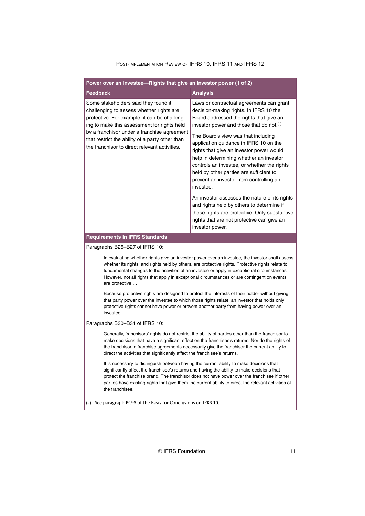| Power over an investee-Rights that give an investor power (1 of 2)                                                                                                                                                                                                                                                                                                                                                   |                                                                                                                                                                                                                                                                                                                        |  |
|----------------------------------------------------------------------------------------------------------------------------------------------------------------------------------------------------------------------------------------------------------------------------------------------------------------------------------------------------------------------------------------------------------------------|------------------------------------------------------------------------------------------------------------------------------------------------------------------------------------------------------------------------------------------------------------------------------------------------------------------------|--|
| <b>Feedback</b>                                                                                                                                                                                                                                                                                                                                                                                                      | <b>Analysis</b>                                                                                                                                                                                                                                                                                                        |  |
| Some stakeholders said they found it<br>challenging to assess whether rights are<br>protective. For example, it can be challeng-<br>ing to make this assessment for rights held                                                                                                                                                                                                                                      | Laws or contractual agreements can grant<br>decision-making rights. In IFRS 10 the<br>Board addressed the rights that give an<br>investor power and those that do not. <sup>(a)</sup>                                                                                                                                  |  |
| by a franchisor under a franchise agreement<br>that restrict the ability of a party other than<br>the franchisor to direct relevant activities.                                                                                                                                                                                                                                                                      | The Board's view was that including<br>application guidance in IFRS 10 on the<br>rights that give an investor power would<br>help in determining whether an investor<br>controls an investee, or whether the rights<br>held by other parties are sufficient to<br>prevent an investor from controlling an<br>investee. |  |
|                                                                                                                                                                                                                                                                                                                                                                                                                      | An investor assesses the nature of its rights<br>and rights held by others to determine if<br>these rights are protective. Only substantive<br>rights that are not protective can give an<br>investor power.                                                                                                           |  |
| <b>Requirements in IFRS Standards</b>                                                                                                                                                                                                                                                                                                                                                                                |                                                                                                                                                                                                                                                                                                                        |  |
| Paragraphs B26-B27 of IFRS 10:                                                                                                                                                                                                                                                                                                                                                                                       |                                                                                                                                                                                                                                                                                                                        |  |
| In evaluating whether rights give an investor power over an investee, the investor shall assess<br>whether its rights, and rights held by others, are protective rights. Protective rights relate to<br>fundamental changes to the activities of an investee or apply in exceptional circumstances.<br>However, not all rights that apply in exceptional circumstances or are contingent on events<br>are protective |                                                                                                                                                                                                                                                                                                                        |  |
| Because protective rights are designed to protect the interests of their holder without giving<br>that party power over the investee to which those rights relate, an investor that holds only<br>protective rights cannot have power or prevent another party from having power over an<br>investee                                                                                                                 |                                                                                                                                                                                                                                                                                                                        |  |
| Paragraphs B30-B31 of IFRS 10:                                                                                                                                                                                                                                                                                                                                                                                       |                                                                                                                                                                                                                                                                                                                        |  |
| Generally, franchisors' rights do not restrict the ability of parties other than the franchisor to<br>make decisions that have a significant effect on the franchisee's returns. Nor do the rights of<br>the franchisor in franchise agreements necessarily give the franchisor the current ability to<br>direct the activities that significantly affect the franchisee's returns.                                  |                                                                                                                                                                                                                                                                                                                        |  |
| It is necessary to distinguish between having the current ability to make decisions that<br>significantly affect the franchisee's returns and having the ability to make decisions that<br>protect the franchise brand. The franchisor does not have power over the franchisee if other<br>parties have existing rights that give them the current ability to direct the relevant activities of<br>the franchisee.   |                                                                                                                                                                                                                                                                                                                        |  |
| (a) See paragraph BC95 of the Basis for Conclusions on IFRS 10.                                                                                                                                                                                                                                                                                                                                                      |                                                                                                                                                                                                                                                                                                                        |  |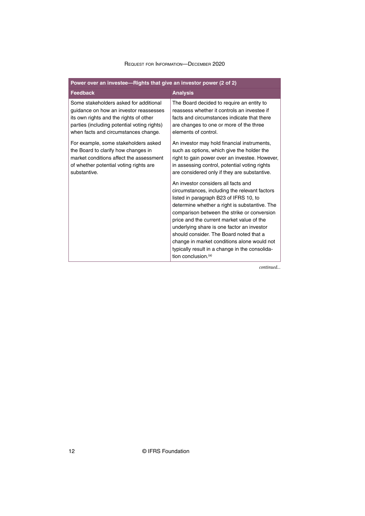| Power over an investee—Rights that give an investor power (2 of 2)                                                                                                                                                |                                                                                                                                                                                                                                                                                                                                                                                                                                                                                                          |  |  |
|-------------------------------------------------------------------------------------------------------------------------------------------------------------------------------------------------------------------|----------------------------------------------------------------------------------------------------------------------------------------------------------------------------------------------------------------------------------------------------------------------------------------------------------------------------------------------------------------------------------------------------------------------------------------------------------------------------------------------------------|--|--|
| <b>Feedback</b>                                                                                                                                                                                                   | <b>Analysis</b>                                                                                                                                                                                                                                                                                                                                                                                                                                                                                          |  |  |
| Some stakeholders asked for additional<br>guidance on how an investor reassesses<br>its own rights and the rights of other<br>parties (including potential voting rights)<br>when facts and circumstances change. | The Board decided to require an entity to<br>reassess whether it controls an investee if<br>facts and circumstances indicate that there<br>are changes to one or more of the three<br>elements of control.                                                                                                                                                                                                                                                                                               |  |  |
| For example, some stakeholders asked<br>the Board to clarify how changes in<br>market conditions affect the assessment<br>of whether potential voting rights are<br>substantive.                                  | An investor may hold financial instruments,<br>such as options, which give the holder the<br>right to gain power over an investee. However,<br>in assessing control, potential voting rights<br>are considered only if they are substantive.                                                                                                                                                                                                                                                             |  |  |
|                                                                                                                                                                                                                   | An investor considers all facts and<br>circumstances, including the relevant factors<br>listed in paragraph B23 of IFRS 10, to<br>determine whether a right is substantive. The<br>comparison between the strike or conversion<br>price and the current market value of the<br>underlying share is one factor an investor<br>should consider. The Board noted that a<br>change in market conditions alone would not<br>typically result in a change in the consolida-<br>tion conclusion. <sup>(a)</sup> |  |  |

*continued...*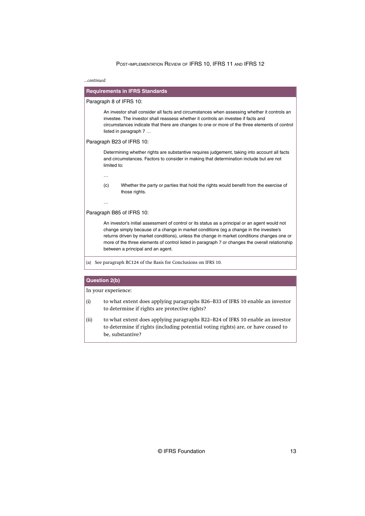*...continued*

| <b>Requirements in IFRS Standards</b>                                                                                                                                                                                                                                                                                                                                                                                          |                                                                                                                                                                                         |  |  |
|--------------------------------------------------------------------------------------------------------------------------------------------------------------------------------------------------------------------------------------------------------------------------------------------------------------------------------------------------------------------------------------------------------------------------------|-----------------------------------------------------------------------------------------------------------------------------------------------------------------------------------------|--|--|
|                                                                                                                                                                                                                                                                                                                                                                                                                                | Paragraph 8 of IFRS 10:                                                                                                                                                                 |  |  |
| An investor shall consider all facts and circumstances when assessing whether it controls an<br>investee. The investor shall reassess whether it controls an investee if facts and<br>circumstances indicate that there are changes to one or more of the three elements of control<br>listed in paragraph 7                                                                                                                   |                                                                                                                                                                                         |  |  |
|                                                                                                                                                                                                                                                                                                                                                                                                                                | Paragraph B23 of IFRS 10:                                                                                                                                                               |  |  |
| limited to:                                                                                                                                                                                                                                                                                                                                                                                                                    | Determining whether rights are substantive requires judgement, taking into account all facts<br>and circumstances. Factors to consider in making that determination include but are not |  |  |
|                                                                                                                                                                                                                                                                                                                                                                                                                                |                                                                                                                                                                                         |  |  |
| (c)                                                                                                                                                                                                                                                                                                                                                                                                                            | Whether the party or parties that hold the rights would benefit from the exercise of<br>those rights.                                                                                   |  |  |
| $\cdots$                                                                                                                                                                                                                                                                                                                                                                                                                       |                                                                                                                                                                                         |  |  |
|                                                                                                                                                                                                                                                                                                                                                                                                                                | Paragraph B85 of IFRS 10:                                                                                                                                                               |  |  |
| An investor's initial assessment of control or its status as a principal or an agent would not<br>change simply because of a change in market conditions (eg a change in the investee's<br>returns driven by market conditions), unless the change in market conditions changes one or<br>more of the three elements of control listed in paragraph 7 or changes the overall relationship<br>between a principal and an agent. |                                                                                                                                                                                         |  |  |

(a) See paragraph BC124 of the Basis for Conclusions on IFRS 10.

## **Question 2(b)**

- (i) to what extent does applying paragraphs B26–B33 of IFRS 10 enable an investor to determine if rights are protective rights?
- (ii) to what extent does applying paragraphs B22–B24 of IFRS 10 enable an investor to determine if rights (including potential voting rights) are, or have ceased to be, substantive?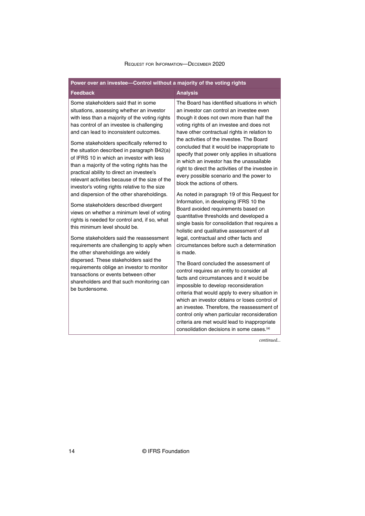| Power over an investee-Control without a majority of the voting rights                                                                                                                                                                                                                                                                                                                                                                                                                                                                                                                                                                                                                                                                                                                                                                                                                                                                                                                                                                                                                                                   |                                                                                                                                                                                                                                                                                                                                                                                                                                                                                                                                                                                                                                                                                                                                                                                                                                                                                                                                                                                                                                                                                                                                                                                                                                                                                                                                                                                                                                     |  |  |
|--------------------------------------------------------------------------------------------------------------------------------------------------------------------------------------------------------------------------------------------------------------------------------------------------------------------------------------------------------------------------------------------------------------------------------------------------------------------------------------------------------------------------------------------------------------------------------------------------------------------------------------------------------------------------------------------------------------------------------------------------------------------------------------------------------------------------------------------------------------------------------------------------------------------------------------------------------------------------------------------------------------------------------------------------------------------------------------------------------------------------|-------------------------------------------------------------------------------------------------------------------------------------------------------------------------------------------------------------------------------------------------------------------------------------------------------------------------------------------------------------------------------------------------------------------------------------------------------------------------------------------------------------------------------------------------------------------------------------------------------------------------------------------------------------------------------------------------------------------------------------------------------------------------------------------------------------------------------------------------------------------------------------------------------------------------------------------------------------------------------------------------------------------------------------------------------------------------------------------------------------------------------------------------------------------------------------------------------------------------------------------------------------------------------------------------------------------------------------------------------------------------------------------------------------------------------------|--|--|
| <b>Feedback</b>                                                                                                                                                                                                                                                                                                                                                                                                                                                                                                                                                                                                                                                                                                                                                                                                                                                                                                                                                                                                                                                                                                          | <b>Analysis</b>                                                                                                                                                                                                                                                                                                                                                                                                                                                                                                                                                                                                                                                                                                                                                                                                                                                                                                                                                                                                                                                                                                                                                                                                                                                                                                                                                                                                                     |  |  |
| Some stakeholders said that in some<br>situations, assessing whether an investor<br>with less than a majority of the voting rights<br>has control of an investee is challenging<br>and can lead to inconsistent outcomes.<br>Some stakeholders specifically referred to<br>the situation described in paragraph B42(a)<br>of IFRS 10 in which an investor with less<br>than a majority of the voting rights has the<br>practical ability to direct an investee's<br>relevant activities because of the size of the<br>investor's voting rights relative to the size<br>and dispersion of the other shareholdings.<br>Some stakeholders described divergent<br>views on whether a minimum level of voting<br>rights is needed for control and, if so, what<br>this minimum level should be.<br>Some stakeholders said the reassessment<br>requirements are challenging to apply when<br>the other shareholdings are widely<br>dispersed. These stakeholders said the<br>requirements oblige an investor to monitor<br>transactions or events between other<br>shareholders and that such monitoring can<br>be burdensome. | The Board has identified situations in which<br>an investor can control an investee even<br>though it does not own more than half the<br>voting rights of an investee and does not<br>have other contractual rights in relation to<br>the activities of the investee. The Board<br>concluded that it would be inappropriate to<br>specify that power only applies in situations<br>in which an investor has the unassailable<br>right to direct the activities of the investee in<br>every possible scenario and the power to<br>block the actions of others.<br>As noted in paragraph 19 of this Request for<br>Information, in developing IFRS 10 the<br>Board avoided requirements based on<br>quantitative thresholds and developed a<br>single basis for consolidation that requires a<br>holistic and qualitative assessment of all<br>legal, contractual and other facts and<br>circumstances before such a determination<br>is made.<br>The Board concluded the assessment of<br>control requires an entity to consider all<br>facts and circumstances and it would be<br>impossible to develop reconsideration<br>criteria that would apply to every situation in<br>which an investor obtains or loses control of<br>an investee. Therefore, the reassessment of<br>control only when particular reconsideration<br>criteria are met would lead to inappropriate<br>consolidation decisions in some cases. <sup>(a)</sup> |  |  |

*continued...*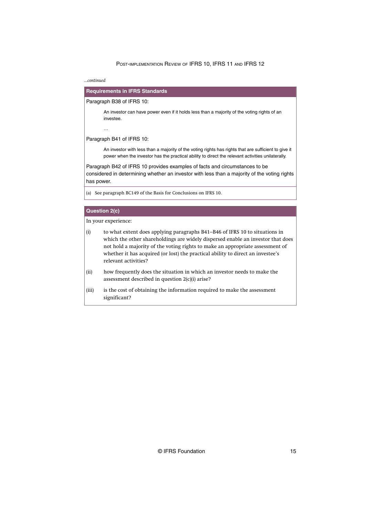*...continued*

## **Requirements in IFRS Standards**

#### Paragraph B38 of IFRS 10:

An investor can have power even if it holds less than a majority of the voting rights of an investee.

#### Paragraph B41 of IFRS 10:

…

An investor with less than a majority of the voting rights has rights that are sufficient to give it power when the investor has the practical ability to direct the relevant activities unilaterally.

Paragraph B42 of IFRS 10 provides examples of facts and circumstances to be considered in determining whether an investor with less than a majority of the voting rights has power.

(a) See paragraph BC149 of the Basis for Conclusions on IFRS 10.

## **Question 2(c)**

- (i) to what extent does applying paragraphs B41–B46 of IFRS 10 to situations in which the other shareholdings are widely dispersed enable an investor that does not hold a majority of the voting rights to make an appropriate assessment of whether it has acquired (or lost) the practical ability to direct an investee's relevant activities?
- (ii) how frequently does the situation in which an investor needs to make the assessment described in question 2(c)(i) arise?
- (iii) is the cost of obtaining the information required to make the assessment significant?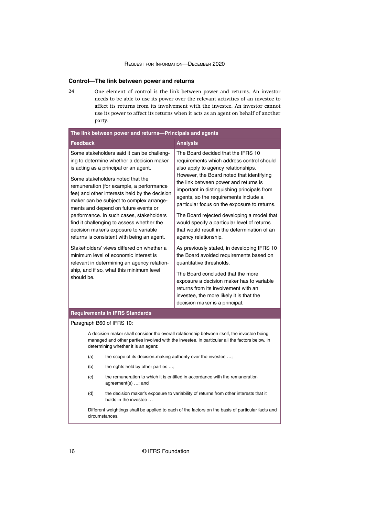#### <span id="page-16-0"></span>**Control—The link between power and returns**

One element of control is the link between power and returns. An investor needs to be able to use its power over the relevant activities of an investee to affect its returns from its involvement with the investee. An investor cannot use its power to affect its returns when it acts as an agent on behalf of another party. 24

| The link between power and returns-Principals and agents                                                                                                                                                                                                                                                                                                                                                                                                                                                                                                                                                                                                                                                                             |                                                                                                                                                                                                                                                                                                                                                                                                                                                                                                                                                                                                                                                                                                                                                                                                                                                         |  |  |
|--------------------------------------------------------------------------------------------------------------------------------------------------------------------------------------------------------------------------------------------------------------------------------------------------------------------------------------------------------------------------------------------------------------------------------------------------------------------------------------------------------------------------------------------------------------------------------------------------------------------------------------------------------------------------------------------------------------------------------------|---------------------------------------------------------------------------------------------------------------------------------------------------------------------------------------------------------------------------------------------------------------------------------------------------------------------------------------------------------------------------------------------------------------------------------------------------------------------------------------------------------------------------------------------------------------------------------------------------------------------------------------------------------------------------------------------------------------------------------------------------------------------------------------------------------------------------------------------------------|--|--|
| <b>Feedback</b>                                                                                                                                                                                                                                                                                                                                                                                                                                                                                                                                                                                                                                                                                                                      | <b>Analysis</b>                                                                                                                                                                                                                                                                                                                                                                                                                                                                                                                                                                                                                                                                                                                                                                                                                                         |  |  |
| Some stakeholders said it can be challeng-<br>ing to determine whether a decision maker<br>is acting as a principal or an agent.<br>Some stakeholders noted that the<br>remuneration (for example, a performance<br>fee) and other interests held by the decision<br>maker can be subject to complex arrange-<br>ments and depend on future events or<br>performance. In such cases, stakeholders<br>find it challenging to assess whether the<br>decision maker's exposure to variable<br>returns is consistent with being an agent.<br>Stakeholders' views differed on whether a<br>minimum level of economic interest is<br>relevant in determining an agency relation-<br>ship, and if so, what this minimum level<br>should be. | The Board decided that the IFRS 10<br>requirements which address control should<br>also apply to agency relationships.<br>However, the Board noted that identifying<br>the link between power and returns is<br>important in distinguishing principals from<br>agents, so the requirements include a<br>particular focus on the exposure to returns.<br>The Board rejected developing a model that<br>would specify a particular level of returns<br>that would result in the determination of an<br>agency relationship.<br>As previously stated, in developing IFRS 10<br>the Board avoided requirements based on<br>quantitative thresholds.<br>The Board concluded that the more<br>exposure a decision maker has to variable<br>returns from its involvement with an<br>investee, the more likely it is that the<br>decision maker is a principal. |  |  |
| <b>Requirements in IFRS Standards</b>                                                                                                                                                                                                                                                                                                                                                                                                                                                                                                                                                                                                                                                                                                |                                                                                                                                                                                                                                                                                                                                                                                                                                                                                                                                                                                                                                                                                                                                                                                                                                                         |  |  |
| Paragraph B60 of IFRS 10:                                                                                                                                                                                                                                                                                                                                                                                                                                                                                                                                                                                                                                                                                                            |                                                                                                                                                                                                                                                                                                                                                                                                                                                                                                                                                                                                                                                                                                                                                                                                                                                         |  |  |
| A decision maker shall consider the overall relationship between itself, the investee being<br>managed and other parties involved with the investee, in particular all the factors below, in<br>determining whether it is an agent:                                                                                                                                                                                                                                                                                                                                                                                                                                                                                                  |                                                                                                                                                                                                                                                                                                                                                                                                                                                                                                                                                                                                                                                                                                                                                                                                                                                         |  |  |
| (a)                                                                                                                                                                                                                                                                                                                                                                                                                                                                                                                                                                                                                                                                                                                                  | the scope of its decision-making authority over the investee ;                                                                                                                                                                                                                                                                                                                                                                                                                                                                                                                                                                                                                                                                                                                                                                                          |  |  |
| the rights held by other parties ;<br>(b)                                                                                                                                                                                                                                                                                                                                                                                                                                                                                                                                                                                                                                                                                            |                                                                                                                                                                                                                                                                                                                                                                                                                                                                                                                                                                                                                                                                                                                                                                                                                                                         |  |  |
| (c)<br>agreement(s) ; and                                                                                                                                                                                                                                                                                                                                                                                                                                                                                                                                                                                                                                                                                                            | the remuneration to which it is entitled in accordance with the remuneration                                                                                                                                                                                                                                                                                                                                                                                                                                                                                                                                                                                                                                                                                                                                                                            |  |  |
| the decision maker's exposure to variability of returns from other interests that it<br>(d)                                                                                                                                                                                                                                                                                                                                                                                                                                                                                                                                                                                                                                          |                                                                                                                                                                                                                                                                                                                                                                                                                                                                                                                                                                                                                                                                                                                                                                                                                                                         |  |  |

holds in the investee … Different weightings shall be applied to each of the factors on the basis of particular facts and circumstances.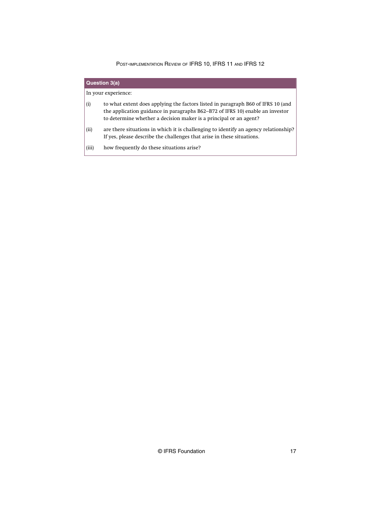| Question 3(a) |                                                                                                                                                                                                                                        |  |
|---------------|----------------------------------------------------------------------------------------------------------------------------------------------------------------------------------------------------------------------------------------|--|
|               | In your experience:                                                                                                                                                                                                                    |  |
| (i)           | to what extent does applying the factors listed in paragraph B60 of IFRS 10 (and<br>the application guidance in paragraphs B62–B72 of IFRS 10) enable an investor<br>to determine whether a decision maker is a principal or an agent? |  |
| (ii)          | are there situations in which it is challenging to identify an agency relationship?<br>If yes, please describe the challenges that arise in these situations.                                                                          |  |
| (iii)         | how frequently do these situations arise?                                                                                                                                                                                              |  |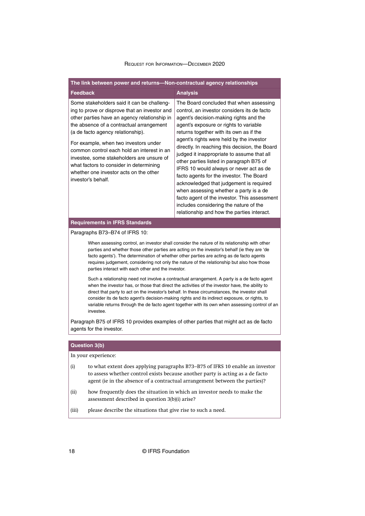| The link between power and returns-Non-contractual agency relationships                                                                                                                                                                                                                                                                                                                                                                                                                                                                                                                                                                                                                                                                                                                                                                                                                                                                                                                           |                                                                                                                                                                                                                                                                                                                                                                                                                                                                                                                                                                                                                                                                                     |  |
|---------------------------------------------------------------------------------------------------------------------------------------------------------------------------------------------------------------------------------------------------------------------------------------------------------------------------------------------------------------------------------------------------------------------------------------------------------------------------------------------------------------------------------------------------------------------------------------------------------------------------------------------------------------------------------------------------------------------------------------------------------------------------------------------------------------------------------------------------------------------------------------------------------------------------------------------------------------------------------------------------|-------------------------------------------------------------------------------------------------------------------------------------------------------------------------------------------------------------------------------------------------------------------------------------------------------------------------------------------------------------------------------------------------------------------------------------------------------------------------------------------------------------------------------------------------------------------------------------------------------------------------------------------------------------------------------------|--|
| <b>Feedback</b>                                                                                                                                                                                                                                                                                                                                                                                                                                                                                                                                                                                                                                                                                                                                                                                                                                                                                                                                                                                   | <b>Analysis</b>                                                                                                                                                                                                                                                                                                                                                                                                                                                                                                                                                                                                                                                                     |  |
| Some stakeholders said it can be challeng-<br>ing to prove or disprove that an investor and<br>other parties have an agency relationship in<br>the absence of a contractual arrangement<br>(a de facto agency relationship).<br>For example, when two investors under<br>common control each hold an interest in an<br>investee, some stakeholders are unsure of<br>what factors to consider in determining<br>whether one investor acts on the other<br>investor's behalf.                                                                                                                                                                                                                                                                                                                                                                                                                                                                                                                       | The Board concluded that when assessing<br>control, an investor considers its de facto<br>agent's decision-making rights and the<br>agent's exposure or rights to variable<br>returns together with its own as if the<br>agent's rights were held by the investor<br>directly. In reaching this decision, the Board<br>judged it inappropriate to assume that all<br>other parties listed in paragraph B75 of<br>IFRS 10 would always or never act as de<br>facto agents for the investor. The Board<br>acknowledged that judgement is required<br>when assessing whether a party is a de<br>facto agent of the investor. This assessment<br>includes considering the nature of the |  |
|                                                                                                                                                                                                                                                                                                                                                                                                                                                                                                                                                                                                                                                                                                                                                                                                                                                                                                                                                                                                   | relationship and how the parties interact.                                                                                                                                                                                                                                                                                                                                                                                                                                                                                                                                                                                                                                          |  |
| <b>Requirements in IFRS Standards</b>                                                                                                                                                                                                                                                                                                                                                                                                                                                                                                                                                                                                                                                                                                                                                                                                                                                                                                                                                             |                                                                                                                                                                                                                                                                                                                                                                                                                                                                                                                                                                                                                                                                                     |  |
| Paragraphs B73-B74 of IFRS 10:<br>When assessing control, an investor shall consider the nature of its relationship with other<br>parties and whether those other parties are acting on the investor's behalf (ie they are 'de<br>facto agents'). The determination of whether other parties are acting as de facto agents<br>requires judgement, considering not only the nature of the relationship but also how those<br>parties interact with each other and the investor.<br>Such a relationship need not involve a contractual arrangement. A party is a de facto agent<br>when the investor has, or those that direct the activities of the investor have, the ability to<br>direct that party to act on the investor's behalf. In these circumstances, the investor shall<br>consider its de facto agent's decision-making rights and its indirect exposure, or rights, to<br>variable returns through the de facto agent together with its own when assessing control of an<br>investee. |                                                                                                                                                                                                                                                                                                                                                                                                                                                                                                                                                                                                                                                                                     |  |
| Paragraph B75 of IFRS 10 provides examples of other parties that might act as de facto<br>agents for the investor.                                                                                                                                                                                                                                                                                                                                                                                                                                                                                                                                                                                                                                                                                                                                                                                                                                                                                |                                                                                                                                                                                                                                                                                                                                                                                                                                                                                                                                                                                                                                                                                     |  |
|                                                                                                                                                                                                                                                                                                                                                                                                                                                                                                                                                                                                                                                                                                                                                                                                                                                                                                                                                                                                   |                                                                                                                                                                                                                                                                                                                                                                                                                                                                                                                                                                                                                                                                                     |  |
| <b>Question 3(b)</b>                                                                                                                                                                                                                                                                                                                                                                                                                                                                                                                                                                                                                                                                                                                                                                                                                                                                                                                                                                              |                                                                                                                                                                                                                                                                                                                                                                                                                                                                                                                                                                                                                                                                                     |  |
| In your experience:<br>(i)                                                                                                                                                                                                                                                                                                                                                                                                                                                                                                                                                                                                                                                                                                                                                                                                                                                                                                                                                                        | to what extent does applying paragraphs B73-B75 of IFRS 10 enable an investor                                                                                                                                                                                                                                                                                                                                                                                                                                                                                                                                                                                                       |  |

agent (ie in the absence of a contractual arrangement between the parties)? (ii) how frequently does the situation in which an investor needs to make the

to assess whether control exists because another party is acting as a de facto

- assessment described in question 3(b)(i) arise?
- (iii) please describe the situations that give rise to such a need.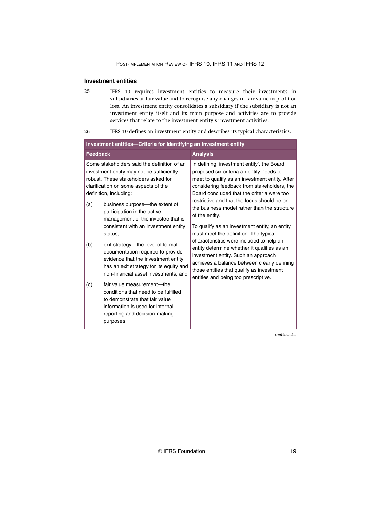## <span id="page-19-0"></span>**Investment entities**

IFRS 10 requires investment entities to measure their investments in subsidiaries at fair value and to recognise any changes in fair value in profit or loss. An investment entity consolidates a subsidiary if the subsidiary is not an investment entity itself and its main purpose and activities are to provide services that relate to the investment entity's investment activities. 25

| 26 | IFRS 10 defines an investment entity and describes its typical characteristics. |  |  |  |
|----|---------------------------------------------------------------------------------|--|--|--|
|    |                                                                                 |  |  |  |

| Investment entities-Criteria for identifying an investment entity |                                                                                                                                                                                                             |                                                                                                                                                                                                                                                                                                             |  |
|-------------------------------------------------------------------|-------------------------------------------------------------------------------------------------------------------------------------------------------------------------------------------------------------|-------------------------------------------------------------------------------------------------------------------------------------------------------------------------------------------------------------------------------------------------------------------------------------------------------------|--|
| <b>Feedback</b>                                                   |                                                                                                                                                                                                             | <b>Analysis</b>                                                                                                                                                                                                                                                                                             |  |
|                                                                   | Some stakeholders said the definition of an<br>investment entity may not be sufficiently<br>robust. These stakeholders asked for<br>clarification on some aspects of the<br>definition, including:          | In defining 'investment entity', the Board<br>proposed six criteria an entity needs to<br>meet to qualify as an investment entity. After<br>considering feedback from stakeholders, the<br>Board concluded that the criteria were too                                                                       |  |
| (a)                                                               | business purpose—the extent of<br>participation in the active<br>management of the investee that is<br>consistent with an investment entity                                                                 | restrictive and that the focus should be on<br>the business model rather than the structure<br>of the entity.<br>To qualify as an investment entity, an entity                                                                                                                                              |  |
| (b)                                                               | status;<br>exit strategy—the level of formal<br>documentation required to provide<br>evidence that the investment entity<br>has an exit strategy for its equity and<br>non-financial asset investments; and | must meet the definition. The typical<br>characteristics were included to help an<br>entity determine whether it qualifies as an<br>investment entity. Such an approach<br>achieves a balance between clearly defining<br>those entities that qualify as investment<br>entities and being too prescriptive. |  |
| (c)                                                               | fair value measurement-the<br>conditions that need to be fulfilled<br>to demonstrate that fair value<br>information is used for internal<br>reporting and decision-making<br>purposes.                      |                                                                                                                                                                                                                                                                                                             |  |

*continued...*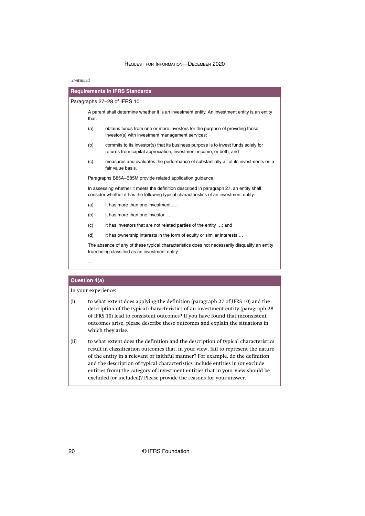#### *...continued*

|                              | <b>Requirements in IFRS Standards</b>                                                                                                                                             |  |  |
|------------------------------|-----------------------------------------------------------------------------------------------------------------------------------------------------------------------------------|--|--|
| Paragraphs 27–28 of IFRS 10: |                                                                                                                                                                                   |  |  |
| that:                        | A parent shall determine whether it is an investment entity. An investment entity is an entity                                                                                    |  |  |
| (a)                          | obtains funds from one or more investors for the purpose of providing those<br>investor(s) with investment management services;                                                   |  |  |
| (b)                          | commits to its investor(s) that its business purpose is to invest funds solely for<br>returns from capital appreciation, investment income, or both; and                          |  |  |
| (c)                          | measures and evaluates the performance of substantially all of its investments on a<br>fair value basis.                                                                          |  |  |
|                              | Paragraphs B85A-B85M provide related application guidance.                                                                                                                        |  |  |
|                              | In assessing whether it meets the definition described in paragraph 27, an entity shall<br>consider whether it has the following typical characteristics of an investment entity: |  |  |
| (a)                          | it has more than one investment ;                                                                                                                                                 |  |  |
| (b)                          | it has more than one investor ;                                                                                                                                                   |  |  |
| (c)                          | it has investors that are not related parties of the entity ; and                                                                                                                 |  |  |
| (d)                          | it has ownership interests in the form of equity or similar interests                                                                                                             |  |  |
|                              | The absence of any of these typical characteristics does not necessarily disqualify an entity<br>from being classified as an investment entity.                                   |  |  |
|                              |                                                                                                                                                                                   |  |  |

#### **Question 4(a)**

- (i) to what extent does applying the definition (paragraph 27 of IFRS 10) and the description of the typical characteristics of an investment entity (paragraph 28 of IFRS 10) lead to consistent outcomes? If you have found that inconsistent outcomes arise, please describe these outcomes and explain the situations in which they arise.
- (ii) to what extent does the definition and the description of typical characteristics result in classification outcomes that, in your view, fail to represent the nature of the entity in a relevant or faithful manner? For example, do the definition and the description of typical characteristics include entities in (or exclude entities from) the category of investment entities that in your view should be excluded (or included)? Please provide the reasons for your answer.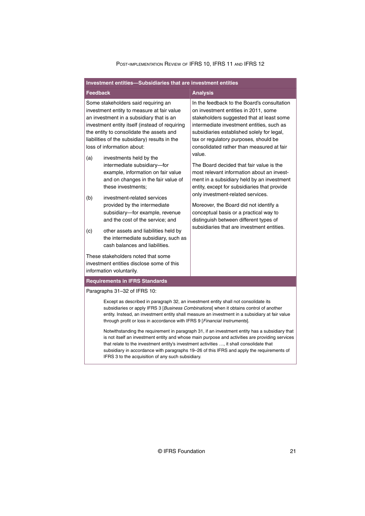| Investment entities-Subsidiaries that are investment entities |                                                                                                                                                                                                                                                                                                                                                                                                                                                 |                                                                                                                                                                                                                                                                                                                             |  |
|---------------------------------------------------------------|-------------------------------------------------------------------------------------------------------------------------------------------------------------------------------------------------------------------------------------------------------------------------------------------------------------------------------------------------------------------------------------------------------------------------------------------------|-----------------------------------------------------------------------------------------------------------------------------------------------------------------------------------------------------------------------------------------------------------------------------------------------------------------------------|--|
| <b>Feedback</b>                                               |                                                                                                                                                                                                                                                                                                                                                                                                                                                 | <b>Analysis</b>                                                                                                                                                                                                                                                                                                             |  |
|                                                               | Some stakeholders said requiring an<br>investment entity to measure at fair value<br>an investment in a subsidiary that is an<br>investment entity itself (instead of requiring<br>the entity to consolidate the assets and<br>liabilities of the subsidiary) results in the<br>loss of information about:                                                                                                                                      | In the feedback to the Board's consultation<br>on investment entities in 2011, some<br>stakeholders suggested that at least some<br>intermediate investment entities, such as<br>subsidiaries established solely for legal,<br>tax or regulatory purposes, should be<br>consolidated rather than measured at fair<br>value. |  |
| (a)                                                           | investments held by the<br>intermediate subsidiary-for<br>example, information on fair value<br>and on changes in the fair value of<br>these investments:                                                                                                                                                                                                                                                                                       | The Board decided that fair value is the<br>most relevant information about an invest-<br>ment in a subsidiary held by an investment<br>entity, except for subsidiaries that provide                                                                                                                                        |  |
| (b)                                                           | investment-related services<br>provided by the intermediate<br>subsidiary-for example, revenue<br>and the cost of the service; and                                                                                                                                                                                                                                                                                                              | only investment-related services.<br>Moreover, the Board did not identify a<br>conceptual basis or a practical way to<br>distinguish between different types of                                                                                                                                                             |  |
| (c)                                                           | other assets and liabilities held by<br>the intermediate subsidiary, such as<br>cash balances and liabilities.                                                                                                                                                                                                                                                                                                                                  | subsidiaries that are investment entities.                                                                                                                                                                                                                                                                                  |  |
|                                                               | These stakeholders noted that some<br>investment entities disclose some of this<br>information voluntarily.                                                                                                                                                                                                                                                                                                                                     |                                                                                                                                                                                                                                                                                                                             |  |
|                                                               | <b>Requirements in IFRS Standards</b>                                                                                                                                                                                                                                                                                                                                                                                                           |                                                                                                                                                                                                                                                                                                                             |  |
|                                                               | Paragraphs 31-32 of IFRS 10:                                                                                                                                                                                                                                                                                                                                                                                                                    |                                                                                                                                                                                                                                                                                                                             |  |
|                                                               | Except as described in paragraph 32, an investment entity shall not consolidate its<br>through profit or loss in accordance with IFRS 9 [Financial Instruments].                                                                                                                                                                                                                                                                                | subsidiaries or apply IFRS 3 [Business Combinations] when it obtains control of another<br>entity. Instead, an investment entity shall measure an investment in a subsidiary at fair value                                                                                                                                  |  |
|                                                               | Notwithstanding the requirement in paragraph 31, if an investment entity has a subsidiary that<br>is not itself an investment entity and whose main purpose and activities are providing services<br>that relate to the investment entity's investment activities , it shall consolidate that<br>subsidiary in accordance with paragraphs 19-26 of this IFRS and apply the requirements of<br>IFRS 3 to the acquisition of any such subsidiary. |                                                                                                                                                                                                                                                                                                                             |  |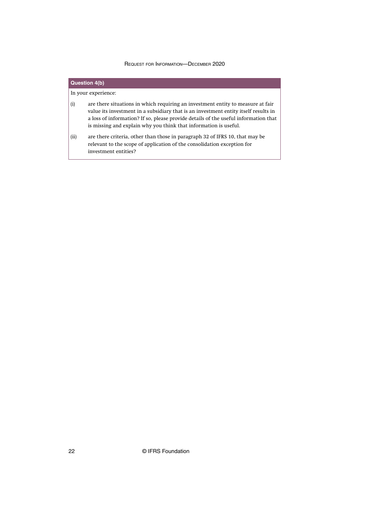## **Question 4(b)** In your experience: (i) are there situations in which requiring an investment entity to measure at fair value its investment in a subsidiary that is an investment entity itself results in a loss of information? If so, please provide details of the useful information that is missing and explain why you think that information is useful. (ii) are there criteria, other than those in paragraph 32 of IFRS 10, that may be relevant to the scope of application of the consolidation exception for investment entities?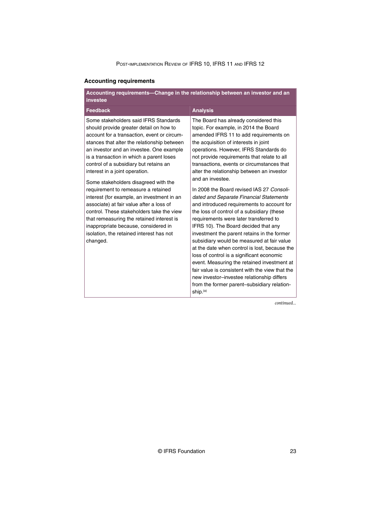## <span id="page-23-0"></span>**Accounting requirements**

| Accounting requirements-Change in the relationship between an investor and an<br>investee                                                                                                                                                                                                                                                                                                                                                                                                                                                                                                                                                                                                                             |                                                                                                                                                                                                                                                                                                                                                                                                                                                                                                                                                                                                                                                                                                                                                                                                                                                                                                                                                                                                                                                                    |  |
|-----------------------------------------------------------------------------------------------------------------------------------------------------------------------------------------------------------------------------------------------------------------------------------------------------------------------------------------------------------------------------------------------------------------------------------------------------------------------------------------------------------------------------------------------------------------------------------------------------------------------------------------------------------------------------------------------------------------------|--------------------------------------------------------------------------------------------------------------------------------------------------------------------------------------------------------------------------------------------------------------------------------------------------------------------------------------------------------------------------------------------------------------------------------------------------------------------------------------------------------------------------------------------------------------------------------------------------------------------------------------------------------------------------------------------------------------------------------------------------------------------------------------------------------------------------------------------------------------------------------------------------------------------------------------------------------------------------------------------------------------------------------------------------------------------|--|
| <b>Feedback</b>                                                                                                                                                                                                                                                                                                                                                                                                                                                                                                                                                                                                                                                                                                       | <b>Analysis</b>                                                                                                                                                                                                                                                                                                                                                                                                                                                                                                                                                                                                                                                                                                                                                                                                                                                                                                                                                                                                                                                    |  |
| Some stakeholders said IFRS Standards<br>should provide greater detail on how to<br>account for a transaction, event or circum-<br>stances that alter the relationship between<br>an investor and an investee. One example<br>is a transaction in which a parent loses<br>control of a subsidiary but retains an<br>interest in a joint operation.<br>Some stakeholders disagreed with the<br>requirement to remeasure a retained<br>interest (for example, an investment in an<br>associate) at fair value after a loss of<br>control. These stakeholders take the view<br>that remeasuring the retained interest is<br>inappropriate because, considered in<br>isolation, the retained interest has not<br>changed. | The Board has already considered this<br>topic. For example, in 2014 the Board<br>amended IFRS 11 to add requirements on<br>the acquisition of interests in joint<br>operations. However, IFRS Standards do<br>not provide requirements that relate to all<br>transactions, events or circumstances that<br>alter the relationship between an investor<br>and an investee.<br>In 2008 the Board revised IAS 27 Consoli-<br>dated and Separate Financial Statements<br>and introduced requirements to account for<br>the loss of control of a subsidiary (these<br>requirements were later transferred to<br>IFRS 10). The Board decided that any<br>investment the parent retains in the former<br>subsidiary would be measured at fair value<br>at the date when control is lost, because the<br>loss of control is a significant economic<br>event. Measuring the retained investment at<br>fair value is consistent with the view that the<br>new investor-investee relationship differs<br>from the former parent-subsidiary relation-<br>ship. <sup>(a)</sup> |  |
|                                                                                                                                                                                                                                                                                                                                                                                                                                                                                                                                                                                                                                                                                                                       | continued                                                                                                                                                                                                                                                                                                                                                                                                                                                                                                                                                                                                                                                                                                                                                                                                                                                                                                                                                                                                                                                          |  |

*continued...*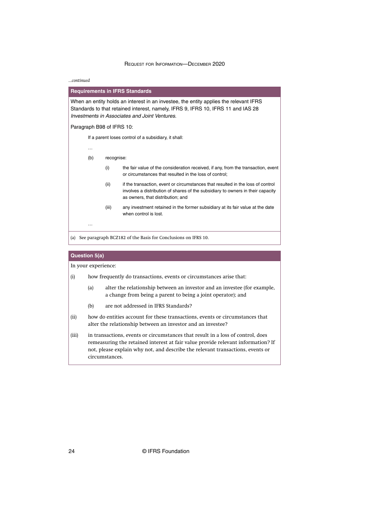#### *...continued*

**Requirements in IFRS Standards** When an entity holds an interest in an investee, the entity applies the relevant IFRS Standards to that retained interest, namely, IFRS 9, IFRS 10, IFRS 11 and IAS 28 Investments in Associates and Joint Ventures. Paragraph B98 of IFRS 10: If a parent loses control of a subsidiary, it shall: … (b) recognise: (i) the fair value of the consideration received, if any, from the transaction, event or circumstances that resulted in the loss of control; (ii) if the transaction, event or circumstances that resulted in the loss of control involves a distribution of shares of the subsidiary to owners in their capacity as owners, that distribution; and (iii) any investment retained in the former subsidiary at its fair value at the date when control is lost. … (a) See paragraph BCZ182 of the Basis for Conclusions on IFRS 10.

#### **Question 5(a)**

- (i) how frequently do transactions, events or circumstances arise that:
	- (a) alter the relationship between an investor and an investee (for example, a change from being a parent to being a joint operator); and
	- (b) are not addressed in IFRS Standards?
- (ii) how do entities account for these transactions, events or circumstances that alter the relationship between an investor and an investee?
- (iii) in transactions, events or circumstances that result in a loss of control, does remeasuring the retained interest at fair value provide relevant information? If not, please explain why not, and describe the relevant transactions, events or circumstances.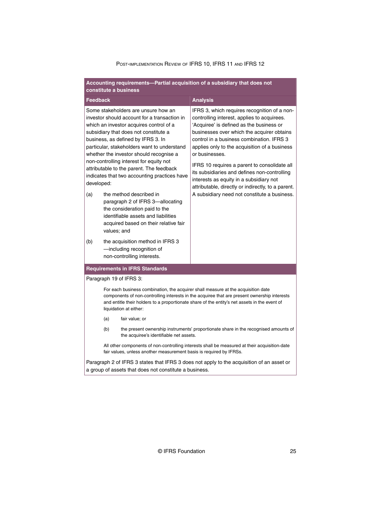#### **Accounting requirements—Partial acquisition of a subsidiary that does not constitute a business**

| <b>Feedback</b>                                                                                                                                                                                                                                                                                                                                                                                                                                                                                                                                                                                                                                                    |                                                                                                                                                                      |                                                                                             | <b>Analysis</b>                                                                                                                                                                                                                                                                                                                                                                                                                                                                                                                                        |  |
|--------------------------------------------------------------------------------------------------------------------------------------------------------------------------------------------------------------------------------------------------------------------------------------------------------------------------------------------------------------------------------------------------------------------------------------------------------------------------------------------------------------------------------------------------------------------------------------------------------------------------------------------------------------------|----------------------------------------------------------------------------------------------------------------------------------------------------------------------|---------------------------------------------------------------------------------------------|--------------------------------------------------------------------------------------------------------------------------------------------------------------------------------------------------------------------------------------------------------------------------------------------------------------------------------------------------------------------------------------------------------------------------------------------------------------------------------------------------------------------------------------------------------|--|
| Some stakeholders are unsure how an<br>investor should account for a transaction in<br>which an investor acquires control of a<br>subsidiary that does not constitute a<br>business, as defined by IFRS 3. In<br>particular, stakeholders want to understand<br>whether the investor should recognise a<br>non-controlling interest for equity not<br>attributable to the parent. The feedback<br>indicates that two accounting practices have<br>developed:<br>(a)<br>the method described in<br>paragraph 2 of IFRS 3-allocating<br>the consideration paid to the<br>identifiable assets and liabilities<br>acquired based on their relative fair<br>values; and |                                                                                                                                                                      |                                                                                             | IFRS 3, which requires recognition of a non-<br>controlling interest, applies to acquirees.<br>'Acquiree' is defined as the business or<br>businesses over which the acquirer obtains<br>control in a business combination. IFRS 3<br>applies only to the acquisition of a business<br>or businesses.<br>IFRS 10 requires a parent to consolidate all<br>its subsidiaries and defines non-controlling<br>interests as equity in a subsidiary not<br>attributable, directly or indirectly, to a parent.<br>A subsidiary need not constitute a business. |  |
| (b)                                                                                                                                                                                                                                                                                                                                                                                                                                                                                                                                                                                                                                                                |                                                                                                                                                                      | the acquisition method in IFRS 3<br>-including recognition of<br>non-controlling interests. |                                                                                                                                                                                                                                                                                                                                                                                                                                                                                                                                                        |  |
|                                                                                                                                                                                                                                                                                                                                                                                                                                                                                                                                                                                                                                                                    |                                                                                                                                                                      | <b>Requirements in IFRS Standards</b>                                                       |                                                                                                                                                                                                                                                                                                                                                                                                                                                                                                                                                        |  |
| Paragraph 19 of IFRS 3:                                                                                                                                                                                                                                                                                                                                                                                                                                                                                                                                                                                                                                            |                                                                                                                                                                      |                                                                                             |                                                                                                                                                                                                                                                                                                                                                                                                                                                                                                                                                        |  |
| For each business combination, the acquirer shall measure at the acquisition date<br>components of non-controlling interests in the acquiree that are present ownership interests<br>and entitle their holders to a proportionate share of the entity's net assets in the event of<br>liquidation at either:                                                                                                                                                                                                                                                                                                                                                       |                                                                                                                                                                      |                                                                                             |                                                                                                                                                                                                                                                                                                                                                                                                                                                                                                                                                        |  |
|                                                                                                                                                                                                                                                                                                                                                                                                                                                                                                                                                                                                                                                                    | (a)<br>fair value; or                                                                                                                                                |                                                                                             |                                                                                                                                                                                                                                                                                                                                                                                                                                                                                                                                                        |  |
|                                                                                                                                                                                                                                                                                                                                                                                                                                                                                                                                                                                                                                                                    | (b)<br>the present ownership instruments' proportionate share in the recognised amounts of<br>the acquiree's identifiable net assets.                                |                                                                                             |                                                                                                                                                                                                                                                                                                                                                                                                                                                                                                                                                        |  |
|                                                                                                                                                                                                                                                                                                                                                                                                                                                                                                                                                                                                                                                                    | All other components of non-controlling interests shall be measured at their acquisition-date<br>fair values, unless another measurement basis is required by IFRSs. |                                                                                             |                                                                                                                                                                                                                                                                                                                                                                                                                                                                                                                                                        |  |
|                                                                                                                                                                                                                                                                                                                                                                                                                                                                                                                                                                                                                                                                    | Paragraph 2 of IFRS 3 states that IFRS 3 does not apply to the acquisition of an asset or<br>a group of assets that does not constitute a business.                  |                                                                                             |                                                                                                                                                                                                                                                                                                                                                                                                                                                                                                                                                        |  |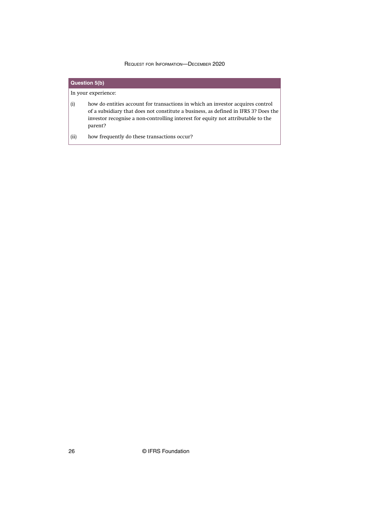|      | <b>Question 5(b)</b> |                                                                                                                                                                                                                                                                      |  |
|------|----------------------|----------------------------------------------------------------------------------------------------------------------------------------------------------------------------------------------------------------------------------------------------------------------|--|
|      | In your experience:  |                                                                                                                                                                                                                                                                      |  |
| (i)  |                      | how do entities account for transactions in which an investor acquires control<br>of a subsidiary that does not constitute a business, as defined in IFRS 3? Does the<br>investor recognise a non-controlling interest for equity not attributable to the<br>parent? |  |
| (ii) |                      | how frequently do these transactions occur?                                                                                                                                                                                                                          |  |

26 © IFRS Foundation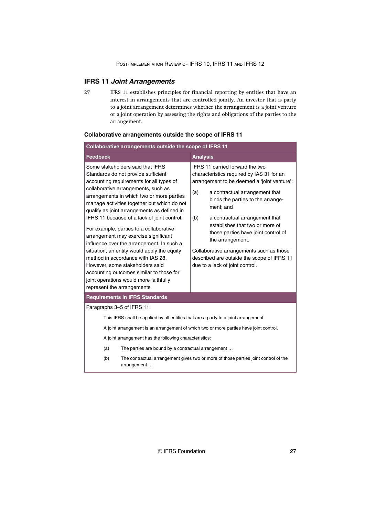## <span id="page-27-0"></span>**IFRS 11 Joint Arrangements**

IFRS 11 establishes principles for financial reporting by entities that have an interest in arrangements that are controlled jointly. An investor that is party to a joint arrangement determines whether the arrangement is a joint venture or a joint operation by assessing the rights and obligations of the parties to the arrangement. 27

| Collaborative arrangements outside the scope of IFRS 11                                                                                                                                                                                                                                                                                                                                                                                                                                                                                                                                                                                                                                                                          |                                                                                                                                                                                                                                                                                                                                                                                                                                                                                            |  |  |
|----------------------------------------------------------------------------------------------------------------------------------------------------------------------------------------------------------------------------------------------------------------------------------------------------------------------------------------------------------------------------------------------------------------------------------------------------------------------------------------------------------------------------------------------------------------------------------------------------------------------------------------------------------------------------------------------------------------------------------|--------------------------------------------------------------------------------------------------------------------------------------------------------------------------------------------------------------------------------------------------------------------------------------------------------------------------------------------------------------------------------------------------------------------------------------------------------------------------------------------|--|--|
| <b>Feedback</b>                                                                                                                                                                                                                                                                                                                                                                                                                                                                                                                                                                                                                                                                                                                  | <b>Analysis</b>                                                                                                                                                                                                                                                                                                                                                                                                                                                                            |  |  |
| Some stakeholders said that IFRS<br>Standards do not provide sufficient<br>accounting requirements for all types of<br>collaborative arrangements, such as<br>arrangements in which two or more parties<br>manage activities together but which do not<br>qualify as joint arrangements as defined in<br>IFRS 11 because of a lack of joint control.<br>For example, parties to a collaborative<br>arrangement may exercise significant<br>influence over the arrangement. In such a<br>situation, an entity would apply the equity<br>method in accordance with IAS 28.<br>However, some stakeholders said<br>accounting outcomes similar to those for<br>joint operations would more faithfully<br>represent the arrangements. | IFRS 11 carried forward the two<br>characteristics required by IAS 31 for an<br>arrangement to be deemed a 'joint venture':<br>(a)<br>a contractual arrangement that<br>binds the parties to the arrange-<br>ment; and<br>(b)<br>a contractual arrangement that<br>establishes that two or more of<br>those parties have joint control of<br>the arrangement.<br>Collaborative arrangements such as those<br>described are outside the scope of IFRS 11<br>due to a lack of joint control. |  |  |
| <b>Requirements in IFRS Standards</b>                                                                                                                                                                                                                                                                                                                                                                                                                                                                                                                                                                                                                                                                                            |                                                                                                                                                                                                                                                                                                                                                                                                                                                                                            |  |  |
| Paragraphs 3-5 of IFRS 11:                                                                                                                                                                                                                                                                                                                                                                                                                                                                                                                                                                                                                                                                                                       |                                                                                                                                                                                                                                                                                                                                                                                                                                                                                            |  |  |
| This IFRS shall be applied by all entities that are a party to a joint arrangement.                                                                                                                                                                                                                                                                                                                                                                                                                                                                                                                                                                                                                                              |                                                                                                                                                                                                                                                                                                                                                                                                                                                                                            |  |  |
| A joint arrangement is an arrangement of which two or more parties have joint control.                                                                                                                                                                                                                                                                                                                                                                                                                                                                                                                                                                                                                                           |                                                                                                                                                                                                                                                                                                                                                                                                                                                                                            |  |  |
| A joint arrangement has the following characteristics:                                                                                                                                                                                                                                                                                                                                                                                                                                                                                                                                                                                                                                                                           |                                                                                                                                                                                                                                                                                                                                                                                                                                                                                            |  |  |
| The parties are bound by a contractual arrangement<br>(a)                                                                                                                                                                                                                                                                                                                                                                                                                                                                                                                                                                                                                                                                        |                                                                                                                                                                                                                                                                                                                                                                                                                                                                                            |  |  |
| (b)<br>The contractual arrangement gives two or more of those parties joint control of the<br>arrangement                                                                                                                                                                                                                                                                                                                                                                                                                                                                                                                                                                                                                        |                                                                                                                                                                                                                                                                                                                                                                                                                                                                                            |  |  |

## **Collaborative arrangements outside the scope of IFRS 11**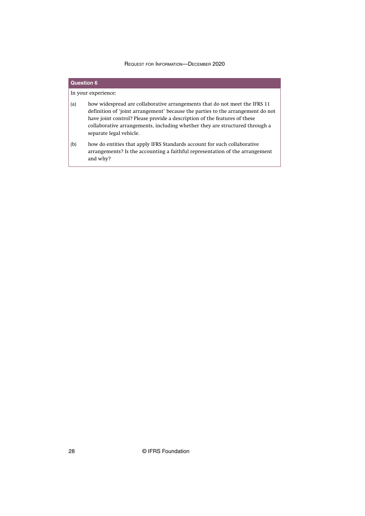## **Question 6** In your experience: (a) how widespread are collaborative arrangements that do not meet the IFRS 11 definition of 'joint arrangement' because the parties to the arrangement do not have joint control? Please provide a description of the features of these collaborative arrangements, including whether they are structured through a separate legal vehicle. (b) how do entities that apply IFRS Standards account for such collaborative arrangements? Is the accounting a faithful representation of the arrangement and why?

28 © IFRS Foundation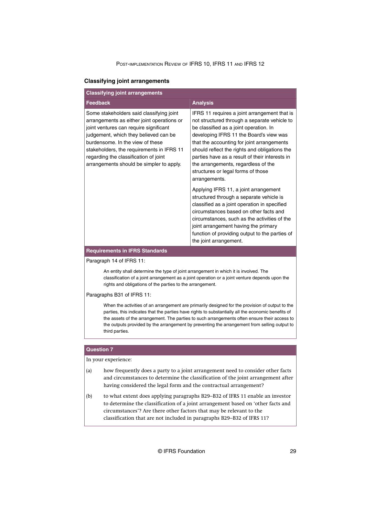#### <span id="page-29-0"></span>**Classifying joint arrangements**

| <b>Classifying joint arrangements</b>                                                                                                                                                                                                                                                                                                           |                                                                                                                                                                                                                                                                                                                                                                                                                                                                                                                                                                                                                                                                                                                                                                                     |  |  |
|-------------------------------------------------------------------------------------------------------------------------------------------------------------------------------------------------------------------------------------------------------------------------------------------------------------------------------------------------|-------------------------------------------------------------------------------------------------------------------------------------------------------------------------------------------------------------------------------------------------------------------------------------------------------------------------------------------------------------------------------------------------------------------------------------------------------------------------------------------------------------------------------------------------------------------------------------------------------------------------------------------------------------------------------------------------------------------------------------------------------------------------------------|--|--|
| <b>Feedback</b>                                                                                                                                                                                                                                                                                                                                 | <b>Analysis</b>                                                                                                                                                                                                                                                                                                                                                                                                                                                                                                                                                                                                                                                                                                                                                                     |  |  |
| Some stakeholders said classifying joint<br>arrangements as either joint operations or<br>joint ventures can require significant<br>judgement, which they believed can be<br>burdensome. In the view of these<br>stakeholders, the requirements in IFRS 11<br>regarding the classification of joint<br>arrangements should be simpler to apply. | IFRS 11 requires a joint arrangement that is<br>not structured through a separate vehicle to<br>be classified as a joint operation. In<br>developing IFRS 11 the Board's view was<br>that the accounting for joint arrangements<br>should reflect the rights and obligations the<br>parties have as a result of their interests in<br>the arrangements, regardless of the<br>structures or legal forms of those<br>arrangements.<br>Applying IFRS 11, a joint arrangement<br>structured through a separate vehicle is<br>classified as a joint operation in specified<br>circumstances based on other facts and<br>circumstances, such as the activities of the<br>joint arrangement having the primary<br>function of providing output to the parties of<br>the joint arrangement. |  |  |
| <b>Requirements in IFRS Standards</b>                                                                                                                                                                                                                                                                                                           |                                                                                                                                                                                                                                                                                                                                                                                                                                                                                                                                                                                                                                                                                                                                                                                     |  |  |

Paragraph 14 of IFRS 11:

An entity shall determine the type of joint arrangement in which it is involved. The classification of a joint arrangement as a joint operation or a joint venture depends upon the rights and obligations of the parties to the arrangement.

Paragraphs B31 of IFRS 11:

When the activities of an arrangement are primarily designed for the provision of output to the parties, this indicates that the parties have rights to substantially all the economic benefits of the assets of the arrangement. The parties to such arrangements often ensure their access to the outputs provided by the arrangement by preventing the arrangement from selling output to third parties.

#### **Question 7**

- (a) how frequently does a party to a joint arrangement need to consider other facts and circumstances to determine the classification of the joint arrangement after having considered the legal form and the contractual arrangement?
- (b) to what extent does applying paragraphs B29–B32 of IFRS 11 enable an investor to determine the classification of a joint arrangement based on 'other facts and circumstances'? Are there other factors that may be relevant to the classification that are not included in paragraphs B29–B32 of IFRS 11?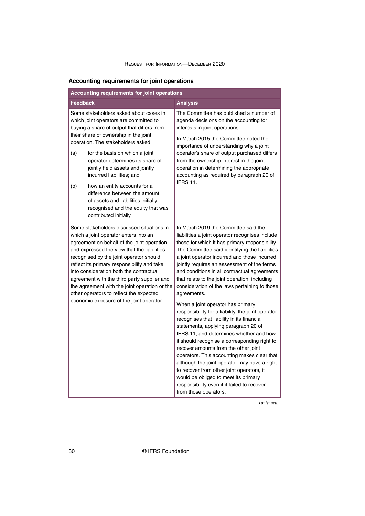## <span id="page-30-0"></span>**Accounting requirements for joint operations**

| Accounting requirements for joint operations                                                                                                                                                                                                                                                                                                                                                                                                                                                                 |                                                                                                                                                                                                                                                                                                                                                                                                                                                                                                                                                                                                                                                                                                                                                                                                                                                                                                                                                                                                                                             |  |  |
|--------------------------------------------------------------------------------------------------------------------------------------------------------------------------------------------------------------------------------------------------------------------------------------------------------------------------------------------------------------------------------------------------------------------------------------------------------------------------------------------------------------|---------------------------------------------------------------------------------------------------------------------------------------------------------------------------------------------------------------------------------------------------------------------------------------------------------------------------------------------------------------------------------------------------------------------------------------------------------------------------------------------------------------------------------------------------------------------------------------------------------------------------------------------------------------------------------------------------------------------------------------------------------------------------------------------------------------------------------------------------------------------------------------------------------------------------------------------------------------------------------------------------------------------------------------------|--|--|
| <b>Feedback</b>                                                                                                                                                                                                                                                                                                                                                                                                                                                                                              | <b>Analysis</b>                                                                                                                                                                                                                                                                                                                                                                                                                                                                                                                                                                                                                                                                                                                                                                                                                                                                                                                                                                                                                             |  |  |
| Some stakeholders asked about cases in<br>which joint operators are committed to<br>buying a share of output that differs from                                                                                                                                                                                                                                                                                                                                                                               | The Committee has published a number of<br>agenda decisions on the accounting for<br>interests in joint operations.                                                                                                                                                                                                                                                                                                                                                                                                                                                                                                                                                                                                                                                                                                                                                                                                                                                                                                                         |  |  |
| their share of ownership in the joint<br>operation. The stakeholders asked:<br>for the basis on which a joint<br>(a)                                                                                                                                                                                                                                                                                                                                                                                         | In March 2015 the Committee noted the<br>importance of understanding why a joint<br>operator's share of output purchased differs<br>from the ownership interest in the joint<br>operation in determining the appropriate<br>accounting as required by paragraph 20 of                                                                                                                                                                                                                                                                                                                                                                                                                                                                                                                                                                                                                                                                                                                                                                       |  |  |
| operator determines its share of<br>jointly held assets and jointly<br>incurred liabilities; and                                                                                                                                                                                                                                                                                                                                                                                                             |                                                                                                                                                                                                                                                                                                                                                                                                                                                                                                                                                                                                                                                                                                                                                                                                                                                                                                                                                                                                                                             |  |  |
| how an entity accounts for a<br>(b)<br>difference between the amount<br>of assets and liabilities initially<br>recognised and the equity that was<br>contributed initially.                                                                                                                                                                                                                                                                                                                                  | <b>IFRS 11.</b>                                                                                                                                                                                                                                                                                                                                                                                                                                                                                                                                                                                                                                                                                                                                                                                                                                                                                                                                                                                                                             |  |  |
| Some stakeholders discussed situations in<br>which a joint operator enters into an<br>agreement on behalf of the joint operation,<br>and expressed the view that the liabilities<br>recognised by the joint operator should<br>reflect its primary responsibility and take<br>into consideration both the contractual<br>agreement with the third party supplier and<br>the agreement with the joint operation or the<br>other operators to reflect the expected<br>economic exposure of the joint operator. | In March 2019 the Committee said the<br>liabilities a joint operator recognises include<br>those for which it has primary responsibility.<br>The Committee said identifying the liabilities<br>a joint operator incurred and those incurred<br>jointly requires an assessment of the terms<br>and conditions in all contractual agreements<br>that relate to the joint operation, including<br>consideration of the laws pertaining to those<br>agreements.<br>When a joint operator has primary<br>responsibility for a liability, the joint operator<br>recognises that liability in its financial<br>statements, applying paragraph 20 of<br>IFRS 11, and determines whether and how<br>it should recognise a corresponding right to<br>recover amounts from the other joint<br>operators. This accounting makes clear that<br>although the joint operator may have a right<br>to recover from other joint operators, it<br>would be obliged to meet its primary<br>responsibility even if it failed to recover<br>from those operators. |  |  |

*continued...*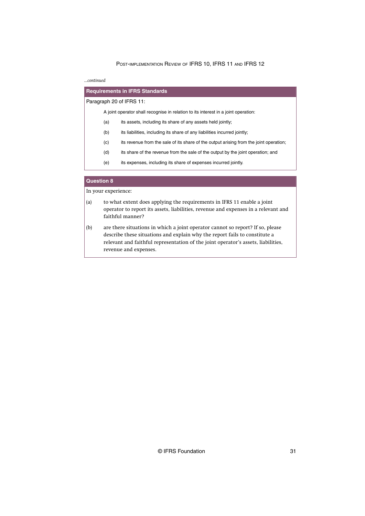*...continued*

| <b>Requirements in IFRS Standards</b> |                                                                                    |                                                                                        |  |
|---------------------------------------|------------------------------------------------------------------------------------|----------------------------------------------------------------------------------------|--|
| Paragraph 20 of IFRS 11:              |                                                                                    |                                                                                        |  |
|                                       | A joint operator shall recognise in relation to its interest in a joint operation: |                                                                                        |  |
|                                       | (a)<br>its assets, including its share of any assets held jointly;                 |                                                                                        |  |
|                                       | (b)                                                                                | its liabilities, including its share of any liabilities incurred jointly;              |  |
|                                       | (c)                                                                                | its revenue from the sale of its share of the output arising from the joint operation; |  |
|                                       | (d)                                                                                | its share of the revenue from the sale of the output by the joint operation; and       |  |
|                                       | (e)<br>its expenses, including its share of expenses incurred jointly.             |                                                                                        |  |
|                                       |                                                                                    |                                                                                        |  |

## **Question 8**

- (a) to what extent does applying the requirements in IFRS 11 enable a joint operator to report its assets, liabilities, revenue and expenses in a relevant and faithful manner?
- (b) are there situations in which a joint operator cannot so report? If so, please describe these situations and explain why the report fails to constitute a relevant and faithful representation of the joint operator's assets, liabilities, revenue and expenses.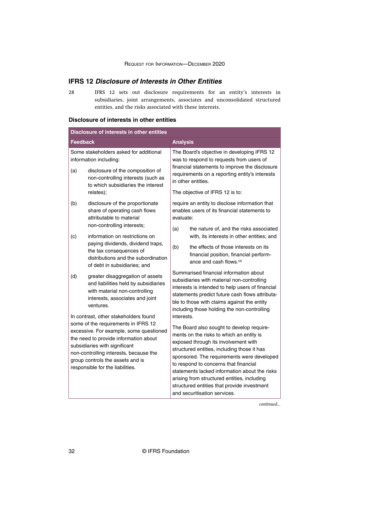## <span id="page-32-0"></span>**IFRS 12 Disclosure of Interests in Other Entities**

IFRS 12 sets out disclosure requirements for an entity's interests in subsidiaries, joint arrangements, associates and unconsolidated structured entities, and the risks associated with these interests. 28

## **Disclosure of interests in other entities**

| Disclosure of interests in other entities                                                                                                                                                                                                                                                                           |                                                                                                                                                           |                                                                                                                                                                                                                   |                                                                                                                                                                                                                                                                                                                                                                                                                                                    |
|---------------------------------------------------------------------------------------------------------------------------------------------------------------------------------------------------------------------------------------------------------------------------------------------------------------------|-----------------------------------------------------------------------------------------------------------------------------------------------------------|-------------------------------------------------------------------------------------------------------------------------------------------------------------------------------------------------------------------|----------------------------------------------------------------------------------------------------------------------------------------------------------------------------------------------------------------------------------------------------------------------------------------------------------------------------------------------------------------------------------------------------------------------------------------------------|
| <b>Feedback</b>                                                                                                                                                                                                                                                                                                     |                                                                                                                                                           | <b>Analysis</b>                                                                                                                                                                                                   |                                                                                                                                                                                                                                                                                                                                                                                                                                                    |
| Some stakeholders asked for additional<br>information including:<br>disclosure of the composition of<br>(a)<br>non-controlling interests (such as<br>to which subsidiaries the interest                                                                                                                             |                                                                                                                                                           | The Board's objective in developing IFRS 12<br>was to respond to requests from users of<br>financial statements to improve the disclosure<br>requirements on a reporting entity's interests<br>in other entities. |                                                                                                                                                                                                                                                                                                                                                                                                                                                    |
|                                                                                                                                                                                                                                                                                                                     | relates);                                                                                                                                                 |                                                                                                                                                                                                                   | The objective of IFRS 12 is to:                                                                                                                                                                                                                                                                                                                                                                                                                    |
| (b)                                                                                                                                                                                                                                                                                                                 | disclosure of the proportionate<br>share of operating cash flows<br>attributable to material                                                              | evaluate:                                                                                                                                                                                                         | require an entity to disclose information that<br>enables users of its financial statements to                                                                                                                                                                                                                                                                                                                                                     |
| (c)                                                                                                                                                                                                                                                                                                                 | non-controlling interests;<br>information on restrictions on                                                                                              | (a)                                                                                                                                                                                                               | the nature of, and the risks associated<br>with, its interests in other entities; and                                                                                                                                                                                                                                                                                                                                                              |
|                                                                                                                                                                                                                                                                                                                     | paying dividends, dividend traps,<br>the tax consequences of<br>distributions and the subordination<br>of debt in subsidiaries; and                       | (b)                                                                                                                                                                                                               | the effects of those interests on its<br>financial position, financial perform-<br>ance and cash flows. <sup>(a)</sup>                                                                                                                                                                                                                                                                                                                             |
| (d)                                                                                                                                                                                                                                                                                                                 | greater disaggregation of assets<br>and liabilities held by subsidiaries<br>with material non-controlling<br>interests, associates and joint<br>ventures. |                                                                                                                                                                                                                   | Summarised financial information about<br>subsidiaries with material non-controlling<br>interests is intended to help users of financial<br>statements predict future cash flows attributa-<br>ble to those with claims against the entity<br>including those holding the non-controlling                                                                                                                                                          |
| In contrast, other stakeholders found<br>some of the requirements in IFRS 12<br>excessive. For example, some questioned<br>the need to provide information about<br>subsidiaries with significant<br>non-controlling interests, because the<br>group controls the assets and is<br>responsible for the liabilities. |                                                                                                                                                           | interests.                                                                                                                                                                                                        | The Board also sought to develop require-<br>ments on the risks to which an entity is<br>exposed through its involvement with<br>structured entities, including those it has<br>sponsored. The requirements were developed<br>to respond to concerns that financial<br>statements lacked information about the risks<br>arising from structured entities, including<br>structured entities that provide investment<br>and securitisation services. |

*continued...*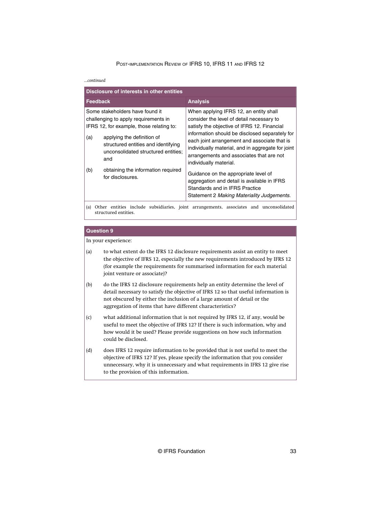#### *...continued*

| Disclosure of interests in other entities                                                                           |                                                                                                                 |                                                                                                                                                                                                                           |  |
|---------------------------------------------------------------------------------------------------------------------|-----------------------------------------------------------------------------------------------------------------|---------------------------------------------------------------------------------------------------------------------------------------------------------------------------------------------------------------------------|--|
| <b>Feedback</b>                                                                                                     |                                                                                                                 | <b>Analysis</b>                                                                                                                                                                                                           |  |
| Some stakeholders have found it<br>challenging to apply requirements in<br>IFRS 12, for example, those relating to: |                                                                                                                 | When applying IFRS 12, an entity shall<br>consider the level of detail necessary to<br>satisfy the objective of IFRS 12. Financial                                                                                        |  |
| (a)                                                                                                                 | applying the definition of<br>structured entities and identifying<br>unconsolidated structured entities;<br>and | information should be disclosed separately for<br>each joint arrangement and associate that is<br>individually material, and in aggregate for joint<br>arrangements and associates that are not<br>individually material. |  |
| (b)                                                                                                                 | obtaining the information required<br>for disclosures.                                                          | Guidance on the appropriate level of<br>aggregation and detail is available in IFRS<br>Standards and in IFRS Practice<br>Statement 2 Making Materiality Judgements.                                                       |  |
|                                                                                                                     |                                                                                                                 | 7. Achiel contribution in 1994, and international component contribution of a contribution of the contribution                                                                                                            |  |

(a) Other entities include subsidiaries, joint arrangements, associates and unconsolidated structured entities.

#### **Question 9**

- (a) to what extent do the IFRS 12 disclosure requirements assist an entity to meet the objective of IFRS 12, especially the new requirements introduced by IFRS 12 (for example the requirements for summarised information for each material joint venture or associate)?
- (b) do the IFRS 12 disclosure requirements help an entity determine the level of detail necessary to satisfy the objective of IFRS 12 so that useful information is not obscured by either the inclusion of a large amount of detail or the aggregation of items that have different characteristics?
- (c) what additional information that is not required by IFRS 12, if any, would be useful to meet the objective of IFRS 12? If there is such information, why and how would it be used? Please provide suggestions on how such information could be disclosed.
- (d) does IFRS 12 require information to be provided that is not useful to meet the objective of IFRS 12? If yes, please specify the information that you consider unnecessary, why it is unnecessary and what requirements in IFRS 12 give rise to the provision of this information.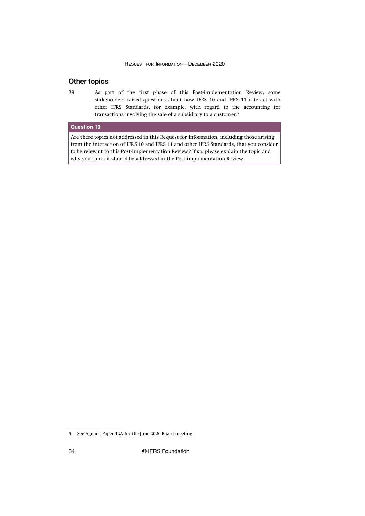## <span id="page-34-0"></span>**Other topics**

As part of the first phase of this Post-implementation Review, some stakeholders raised questions about how IFRS 10 and IFRS 11 interact with other IFRS Standards, for example, with regard to the accounting for transactions involving the sale of a subsidiary to a customer.<sup>5</sup> 29

## **Question 10**

Are there topics not addressed in this Request for Information, including those arising from the interaction of IFRS 10 and IFRS 11 and other IFRS Standards, that you consider to be relevant to this Post-implementation Review? If so, please explain the topic and why you think it should be addressed in the Post-implementation Review.

<sup>5</sup> See [Agenda Paper 12A](https://cdn.ifrs.org/-/media/feature/meetings/2020/june/iasb/ap12a-maintenance-and-consistent-application.pdf) for the June 2020 Board meeting.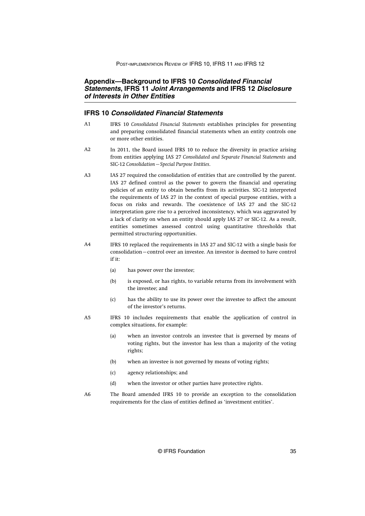## <span id="page-35-0"></span>**Appendix—Background to IFRS 10 Consolidated Financial Statements, IFRS 11 Joint Arrangements and IFRS 12 Disclosure of Interests in Other Entities**

## **IFRS 10 Consolidated Financial Statements**

- IFRS 10 *Consolidated Financial Statements* establishes principles for presenting and preparing consolidated financial statements when an entity controls one or more other entities.  $A<sub>1</sub>$
- In 2011, the Board issued IFRS 10 to reduce the diversity in practice arising from entities applying IAS 27 *Consolidated and Separate Financial Statements* and SIC-12 *Consolidation—Special Purpose Entities*. A2
- IAS 27 required the consolidation of entities that are controlled by the parent. IAS 27 defined control as the power to govern the financial and operating policies of an entity to obtain benefits from its activities. SIC-12 interpreted the requirements of IAS 27 in the context of special purpose entities, with a focus on risks and rewards. The coexistence of IAS 27 and the SIC-12 interpretation gave rise to a perceived inconsistency, which was aggravated by a lack of clarity on when an entity should apply IAS 27 or SIC-12. As a result, entities sometimes assessed control using quantitative thresholds that permitted structuring opportunities. A3
- IFRS 10 replaced the requirements in IAS 27 and SIC-12 with a single basis for consolidation—control over an investee. An investor is deemed to have control if it: A4
	- (a) has power over the investee;
	- (b) is exposed, or has rights, to variable returns from its involvement with the investee; and
	- (c) has the ability to use its power over the investee to affect the amount of the investor's returns.
- IFRS 10 includes requirements that enable the application of control in complex situations, for example: A5
	- (a) when an investor controls an investee that is governed by means of voting rights, but the investor has less than a majority of the voting rights;
	- (b) when an investee is not governed by means of voting rights;
	- (c) agency relationships; and
	- (d) when the investor or other parties have protective rights.
- The Board amended IFRS 10 to provide an exception to the consolidation requirements for the class of entities defined as 'investment entities'. A6